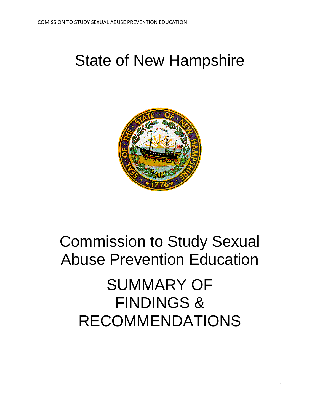## State of New Hampshire



## Commission to Study Sexual Abuse Prevention Education

## SUMMARY OF FINDINGS & RECOMMENDATIONS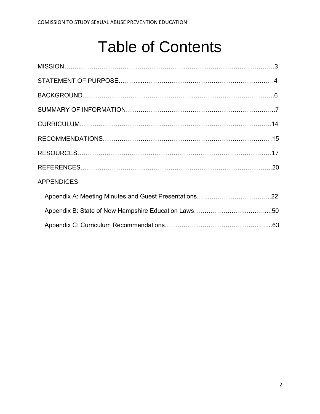## Table of Contents

| <b>APPENDICES</b> |
|-------------------|
|                   |
|                   |
|                   |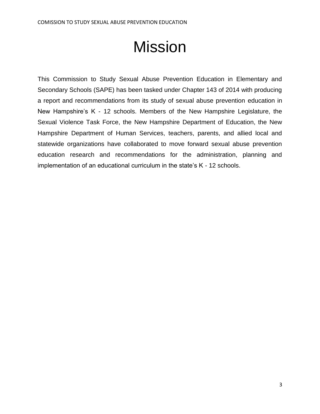# Mission

This Commission to Study Sexual Abuse Prevention Education in Elementary and Secondary Schools (SAPE) has been tasked under Chapter 143 of 2014 with producing a report and recommendations from its study of sexual abuse prevention education in New Hampshire's K - 12 schools. Members of the New Hampshire Legislature, the Sexual Violence Task Force, the New Hampshire Department of Education, the New Hampshire Department of Human Services, teachers, parents, and allied local and statewide organizations have collaborated to move forward sexual abuse prevention education research and recommendations for the administration, planning and implementation of an educational curriculum in the state's K - 12 schools.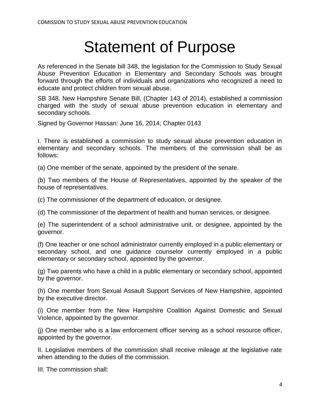## Statement of Purpose

As referenced in the Senate bill 348, the legislation for the Commission to Study Sexual Abuse Prevention Education in Elementary and Secondary Schools was brought forward through the efforts of individuals and organizations who recognized a need to educate and protect children from sexual abuse.

SB 348. New Hampshire Senate Bill, (Chapter 143 of 2014), established a commission charged with the study of sexual abuse prevention education in elementary and secondary schools.

Signed by Governor Hassan: June 16, 2014; Chapter 0143

I. There is established a commission to study sexual abuse prevention education in elementary and secondary schools. The members of the commission shall be as follows:

(a) One member of the senate, appointed by the president of the senate.

(b) Two members of the House of Representatives, appointed by the speaker of the house of representatives.

(c) The commissioner of the department of education, or designee.

(d) The commissioner of the department of health and human services, or designee.

(e) The superintendent of a school administrative unit, or designee, appointed by the governor.

(f) One teacher or one school administrator currently employed in a public elementary or secondary school, and one guidance counselor currently employed in a public elementary or secondary school, appointed by the governor.

(g) Two parents who have a child in a public elementary or secondary school, appointed by the governor.

(h) One member from Sexual Assault Support Services of New Hampshire, appointed by the executive director.

(i) One member from the New Hampshire Coalition Against Domestic and Sexual Violence, appointed by the governor.

(j) One member who is a law enforcement officer serving as a school resource officer, appointed by the governor.

II. Legislative members of the commission shall receive mileage at the legislative rate when attending to the duties of the commission.

III. The commission shall: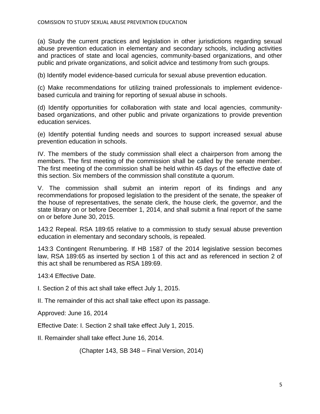(a) Study the current practices and legislation in other jurisdictions regarding sexual abuse prevention education in elementary and secondary schools, including activities and practices of state and local agencies, community-based organizations, and other public and private organizations, and solicit advice and testimony from such groups.

(b) Identify model evidence-based curricula for sexual abuse prevention education.

(c) Make recommendations for utilizing trained professionals to implement evidencebased curricula and training for reporting of sexual abuse in schools.

(d) Identify opportunities for collaboration with state and local agencies, communitybased organizations, and other public and private organizations to provide prevention education services.

(e) Identify potential funding needs and sources to support increased sexual abuse prevention education in schools.

IV. The members of the study commission shall elect a chairperson from among the members. The first meeting of the commission shall be called by the senate member. The first meeting of the commission shall be held within 45 days of the effective date of this section. Six members of the commission shall constitute a quorum.

V. The commission shall submit an interim report of its findings and any recommendations for proposed legislation to the president of the senate, the speaker of the house of representatives, the senate clerk, the house clerk, the governor, and the state library on or before December 1, 2014, and shall submit a final report of the same on or before June 30, 2015.

143:2 Repeal. RSA 189:65 relative to a commission to study sexual abuse prevention education in elementary and secondary schools, is repealed.

143:3 Contingent Renumbering. If HB 1587 of the 2014 legislative session becomes law, RSA 189:65 as inserted by section 1 of this act and as referenced in section 2 of this act shall be renumbered as RSA 189:69.

143:4 Effective Date.

I. Section 2 of this act shall take effect July 1, 2015.

II. The remainder of this act shall take effect upon its passage.

Approved: June 16, 2014

Effective Date: I. Section 2 shall take effect July 1, 2015.

II. Remainder shall take effect June 16, 2014.

(Chapter 143, SB 348 – Final Version, 2014)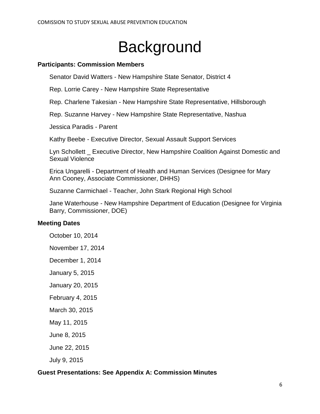# **Background**

## **Participants: Commission Members**

Senator David Watters - New Hampshire State Senator, District 4

Rep. Lorrie Carey - New Hampshire State Representative

Rep. Charlene Takesian - New Hampshire State Representative, Hillsborough

Rep. Suzanne Harvey - New Hampshire State Representative, Nashua

Jessica Paradis - Parent

Kathy Beebe - Executive Director, Sexual Assault Support Services

Lyn Schollett \_ Executive Director, New Hampshire Coalition Against Domestic and Sexual Violence

Erica Ungarelli - Department of Health and Human Services (Designee for Mary Ann Cooney, Associate Commissioner, DHHS)

Suzanne Carmichael - Teacher, John Stark Regional High School

Jane Waterhouse - New Hampshire Department of Education (Designee for Virginia Barry, Commissioner, DOE)

### **Meeting Dates**

October 10, 2014

November 17, 2014

December 1, 2014

January 5, 2015

January 20, 2015

February 4, 2015

March 30, 2015

May 11, 2015

June 8, 2015

June 22, 2015

July 9, 2015

### **Guest Presentations: See Appendix A: Commission Minutes**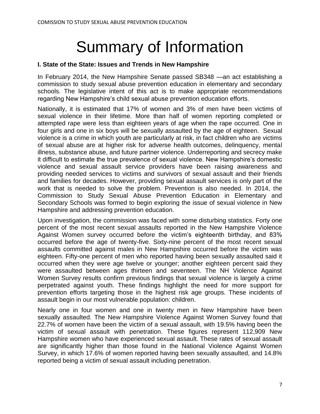# Summary of Information

## **I. State of the State: Issues and Trends in New Hampshire**

In February 2014, the New Hampshire Senate passed SB348 —an act establishing a commission to study sexual abuse prevention education in elementary and secondary schools. The legislative intent of this act is to make appropriate recommendations regarding New Hampshire's child sexual abuse prevention education efforts.

Nationally, it is estimated that 17% of women and 3% of men have been victims of sexual violence in their lifetime. More than half of women reporting completed or attempted rape were less than eighteen years of age when the rape occurred. One in four girls and one in six boys will be sexually assaulted by the age of eighteen. Sexual violence is a crime in which youth are particularly at risk, in fact children who are victims of sexual abuse are at higher risk for adverse health outcomes, delinquency, mental illness, substance abuse, and future partner violence. Underreporting and secrecy make it difficult to estimate the true prevalence of sexual violence. New Hampshire's domestic violence and sexual assault service providers have been raising awareness and providing needed services to victims and survivors of sexual assault and their friends and families for decades. However, providing sexual assault services is only part of the work that is needed to solve the problem. Prevention is also needed. In 2014, the Commission to Study Sexual Abuse Prevention Education in Elementary and Secondary Schools was formed to begin exploring the issue of sexual violence in New Hampshire and addressing prevention education.

Upon investigation, the commission was faced with some disturbing statistics. Forty one percent of the most recent sexual assaults reported in the New Hampshire Violence Against Women survey occurred before the victim's eighteenth birthday, and 83% occurred before the age of twenty-five. Sixty-nine percent of the most recent sexual assaults committed against males in New Hampshire occurred before the victim was eighteen. Fifty-one percent of men who reported having been sexually assaulted said it occurred when they were age twelve or younger; another eighteen percent said they were assaulted between ages thirteen and seventeen. The NH Violence Against Women Survey results confirm previous findings that sexual violence is largely a crime perpetrated against youth. These findings highlight the need for more support for prevention efforts targeting those in the highest risk age groups. These incidents of assault begin in our most vulnerable population: children.

Nearly one in four women and one in twenty men in New Hampshire have been sexually assaulted. The New Hampshire Violence Against Women Survey found that 22.7% of women have been the victim of a sexual assault, with 19.5% having been the victim of sexual assault with penetration. These figures represent 112,909 New Hampshire women who have experienced sexual assault. These rates of sexual assault are significantly higher than those found in the National Violence Against Women Survey, in which 17.6% of women reported having been sexually assaulted, and 14.8% reported being a victim of sexual assault including penetration.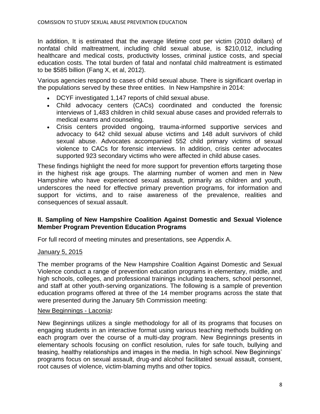In addition, It is estimated that the average lifetime cost per victim (2010 dollars) of nonfatal child maltreatment, including child sexual abuse, is \$210,012, including healthcare and medical costs, productivity losses, criminal justice costs, and special education costs. The total burden of fatal and nonfatal child maltreatment is estimated to be \$585 billion (Fang X, et al, 2012).

Various agencies respond to cases of child sexual abuse. There is significant overlap in the populations served by these three entities. In New Hampshire in 2014:

- DCYF investigated 1,147 reports of child sexual abuse.
- Child advocacy centers (CACs) coordinated and conducted the forensic interviews of 1,483 children in child sexual abuse cases and provided referrals to medical exams and counseling.
- Crisis centers provided ongoing, trauma-informed supportive services and advocacy to 642 child sexual abuse victims and 148 adult survivors of child sexual abuse. Advocates accompanied 552 child primary victims of sexual violence to CACs for forensic interviews. In addition, crisis center advocates supported 923 secondary victims who were affected in child abuse cases.

These findings highlight the need for more support for prevention efforts targeting those in the highest risk age groups. The alarming number of women and men in New Hampshire who have experienced sexual assault, primarily as children and youth, underscores the need for effective primary prevention programs, for information and support for victims, and to raise awareness of the prevalence, realities and consequences of sexual assault.

## **II. Sampling of New Hampshire Coalition Against Domestic and Sexual Violence Member Program Prevention Education Programs**

For full record of meeting minutes and presentations, see Appendix A.

### January 5, 2015

The member programs of the New Hampshire Coalition Against Domestic and Sexual Violence conduct a range of prevention education programs in elementary, middle, and high schools, colleges, and professional trainings including teachers, school personnel, and staff at other youth-serving organizations. The following is a sample of prevention education programs offered at three of the 14 member programs across the state that were presented during the January 5th Commission meeting:

### New Beginnings - Laconia**:**

New Beginnings utilizes a single methodology for all of its programs that focuses on engaging students in an interactive format using various teaching methods building on each program over the course of a multi-day program. New Beginnings presents in elementary schools focusing on conflict resolution, rules for safe touch, bullying and teasing, healthy relationships and images in the media. In high school. New Beginnings' programs focus on sexual assault, drug-and alcohol facilitated sexual assault, consent, root causes of violence, victim-blaming myths and other topics.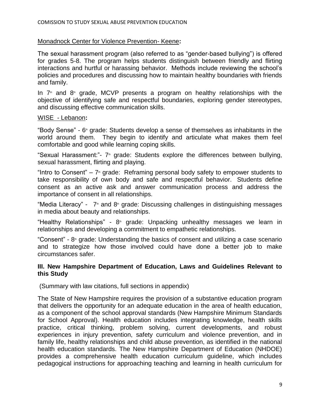## Monadnock Center for Violence Prevention- Keene**:**

The sexual harassment program (also referred to as "gender-based bullying") is offered for grades 5-8. The program helps students distinguish between friendly and flirting interactions and hurtful or harassing behavior. Methods include reviewing the school's policies and procedures and discussing how to maintain healthy boundaries with friends and family.

In  $7<sup>th</sup>$  and  $8<sup>th</sup>$  grade, MCVP presents a program on healthy relationships with the objective of identifying safe and respectful boundaries, exploring gender stereotypes, and discussing effective communication skills.

#### WISE - Lebanon**:**

"Body Sense" - 6 th grade: Students develop a sense of themselves as inhabitants in the world around them. They begin to identify and articulate what makes them feel comfortable and good while learning coping skills.

"Sexual Harassment:"- 7<sup>th</sup> grade: Students explore the differences between bullying, sexual harassment, flirting and playing.

"Intro to Consent"  $-7$  grade: Reframing personal body safety to empower students to take responsibility of own body and safe and respectful behavior. Students define consent as an active ask and answer communication process and address the importance of consent in all relationships.

"Media Literacy" -  $7$  and  $8$  grade: Discussing challenges in distinguishing messages in media about beauty and relationships.

"Healthy Relationships" - 8<sup>th</sup> grade: Unpacking unhealthy messages we learn in relationships and developing a commitment to empathetic relationships.

"Consent" - 8<sup>th</sup> grade: Understanding the basics of consent and utilizing a case scenario and to strategize how those involved could have done a better job to make circumstances safer.

### **III. New Hampshire Department of Education, Laws and Guidelines Relevant to this Study**

(Summary with law citations, full sections in appendix)

The State of New Hampshire requires the provision of a substantive education program that delivers the opportunity for an adequate education in the area of health education, as a component of the school approval standards (New Hampshire Minimum Standards for School Approval). Health education includes integrating knowledge, health skills practice, critical thinking, problem solving, current developments, and robust experiences in injury prevention, safety curriculum and violence prevention, and in family life, healthy relationships and child abuse prevention, as identified in the national health education standards. The New Hampshire Department of Education (NHDOE) provides a comprehensive health education curriculum guideline, which includes pedagogical instructions for approaching teaching and learning in health curriculum for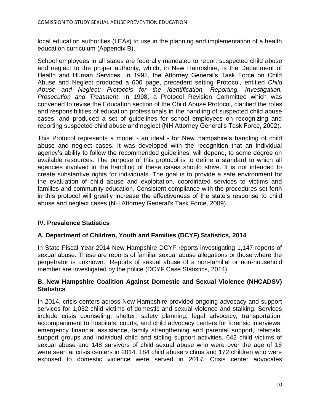local education authorities (LEAs) to use in the planning and implementation of a health education curriculum (Appendix B).

School employees in all states are federally mandated to report suspected child abuse and neglect to the proper authority, which, in New Hampshire, is the Department of Health and Human Services. In 1992, the Attorney General's Task Force on Child Abuse and Neglect produced a 600 page, precedent setting Protocol, entitled *Child Abuse and Neglect: Protocols for the Identification, Reporting, Investigation, Prosecution and Treatment*. In 1998, a Protocol Revision Committee which was convened to revise the Education section of the Child Abuse Protocol, clarified the roles and responsibilities of education professionals in the handling of suspected child abuse cases, and produced a set of guidelines for school employees on recognizing and reporting suspected child abuse and neglect (NH Attorney General's Task Force, 2002).

This Protocol represents a model - an ideal - for New Hampshire's handling of child abuse and neglect cases. It was developed with the recognition that an individual agency's ability to follow the recommended guidelines, will depend, to some degree on available resources. The purpose of this protocol is to define a standard to which all agencies involved in the handling of these cases should strive. It is not intended to create substantive rights for individuals. The goal is to provide a safe environment for the evaluation of child abuse and exploitation, coordinated services to victims and families and community education. Consistent compliance with the procedures set forth in this protocol will greatly increase the effectiveness of the state's response to child abuse and neglect cases (NH Attorney General's Task Force, 2009).

## **IV. Prevalence Statistics**

## **A. Department of Children, Youth and Families (DCYF) Statistics, 2014**

In State Fiscal Year 2014 New Hampshire DCYF reports investigating 1,147 reports of sexual abuse. These are reports of familial sexual abuse allegations or those where the perpetrator is unknown. Reports of sexual abuse of a non-familial or non-household member are investigated by the police (DCYF Case Statistics, 2014).

## **B. New Hampshire Coalition Against Domestic and Sexual Violence (NHCADSV) Statistics**

In 2014, crisis centers across New Hampshire provided ongoing advocacy and support services for 1,032 child victims of domestic and sexual violence and stalking. Services include crisis counseling, shelter, safety planning, legal advocacy, transportation, accompaniment to hospitals, courts, and child advocacy centers for forensic interviews, emergency financial assistance, family strengthening and parental support, referrals, support groups and individual child and sibling support activities. 642 child victims of sexual abuse and 148 survivors of child sexual abuse who were over the age of 18 were seen at crisis centers in 2014. 184 child abuse victims and 172 children who were exposed to domestic violence were served in 201*4.* Crisis center advocates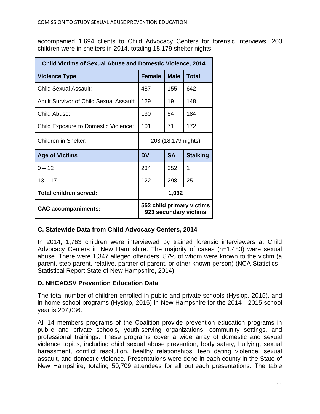accompanied 1,694 clients to Child Advocacy Centers for forensic interviews. 203 children were in shelters in 2014, totaling 18,179 shelter nights.

| <b>Child Victims of Sexual Abuse and Domestic Violence, 2014</b> |                                                    |             |                 |  |
|------------------------------------------------------------------|----------------------------------------------------|-------------|-----------------|--|
| <b>Violence Type</b>                                             | Female                                             | <b>Male</b> | <b>Total</b>    |  |
| Child Sexual Assault:                                            | 487                                                | 155         | 642             |  |
| Adult Survivor of Child Sexual Assault:                          | 129                                                | 19          | 148             |  |
| Child Abuse:                                                     | 130                                                | 54          | 184             |  |
| <b>Child Exposure to Domestic Violence:</b>                      | 101                                                | 71          | 172             |  |
| Children in Shelter:                                             | 203 (18,179 nights)                                |             |                 |  |
| <b>Age of Victims</b>                                            | DV                                                 | <b>SA</b>   | <b>Stalking</b> |  |
| $0 - 12$                                                         | 234                                                | 352         | 1               |  |
| $13 - 17$                                                        | 122                                                | 298         | 25              |  |
| Total children served:                                           | 1,032                                              |             |                 |  |
| <b>CAC accompaniments:</b>                                       | 552 child primary victims<br>923 secondary victims |             |                 |  |

## **C. Statewide Data from Child Advocacy Centers, 2014**

In 2014, 1,763 children were interviewed by trained forensic interviewers at Child Advocacy Centers in New Hampshire. The majority of cases (n=1,483) were sexual abuse. There were 1,347 alleged offenders, 87% of whom were known to the victim (a parent, step parent, relative, partner of parent, or other known person) (NCA Statistics - Statistical Report State of New Hampshire, 2014).

### **D. NHCADSV Prevention Education Data**

The total number of children enrolled in public and private schools (Hyslop, 2015), and in home school programs (Hyslop, 2015) in New Hampshire for the 2014 - 2015 school year is 207,036.

All 14 members programs of the Coalition provide prevention education programs in public and private schools, youth-serving organizations, community settings, and professional trainings. These programs cover a wide array of domestic and sexual violence topics, including child sexual abuse prevention, body safety, bullying, sexual harassment, conflict resolution, healthy relationships, teen dating violence, sexual assault, and domestic violence. Presentations were done in each county in the State of New Hampshire, totaling 50,709 attendees for all outreach presentations. The table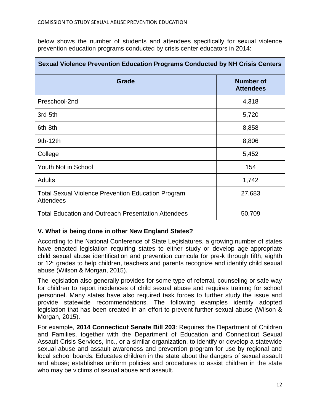below shows the number of students and attendees specifically for sexual violence prevention education programs conducted by crisis center educators in 2014:

| <b>Sexual Violence Prevention Education Programs Conducted by NH Crisis Centers</b> |                                      |  |  |  |
|-------------------------------------------------------------------------------------|--------------------------------------|--|--|--|
| Grade                                                                               | <b>Number of</b><br><b>Attendees</b> |  |  |  |
| Preschool-2nd                                                                       | 4,318                                |  |  |  |
| 3rd-5th                                                                             | 5,720                                |  |  |  |
| 6th-8th                                                                             | 8,858                                |  |  |  |
| $9th-12th$                                                                          | 8,806                                |  |  |  |
| College                                                                             | 5,452                                |  |  |  |
| Youth Not in School                                                                 | 154                                  |  |  |  |
| <b>Adults</b>                                                                       | 1,742                                |  |  |  |
| <b>Total Sexual Violence Prevention Education Program</b><br><b>Attendees</b>       | 27,683                               |  |  |  |
| <b>Total Education and Outreach Presentation Attendees</b>                          | 50,709                               |  |  |  |

## **V. What is being done in other New England States?**

According to the National Conference of State Legislatures, a growing number of states have enacted legislation requiring states to either study or develop age-appropriate child sexual abuse identification and prevention curricula for pre-k through fifth, eighth or  $12<sup>th</sup>$  grades to help children, teachers and parents recognize and identify child sexual abuse (Wilson & Morgan, 2015).

The legislation also generally provides for some type of referral, counseling or safe way for children to report incidences of child sexual abuse and requires training for school personnel. Many states have also required task forces to further study the issue and provide statewide recommendations. The following examples identify adopted legislation that has been created in an effort to prevent further sexual abuse (Wilson & Morgan, 2015).

For example, **2014 Connecticut Senate Bill 203**: Requires the Department of Children and Families, together with the Department of Education and Connecticut Sexual Assault Crisis Services, Inc., or a similar organization, to identify or develop a statewide sexual abuse and assault awareness and prevention program for use by regional and local school boards. Educates children in the state about the dangers of sexual assault and abuse; establishes uniform policies and procedures to assist children in the state who may be victims of sexual abuse and assault.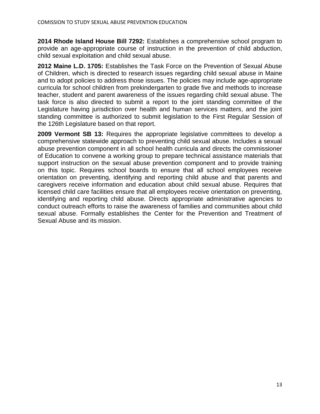**2014 Rhode Island House Bill 7292:** Establishes a comprehensive school program to provide an age-appropriate course of instruction in the prevention of child abduction, child sexual exploitation and child sexual abuse.

**2012 Maine L.D. 1705:** Establishes the Task Force on the Prevention of Sexual Abuse of Children, which is directed to research issues regarding child sexual abuse in Maine and to adopt policies to address those issues. The policies may include age-appropriate curricula for school children from prekindergarten to grade five and methods to increase teacher, student and parent awareness of the issues regarding child sexual abuse. The task force is also directed to submit a report to the joint standing committee of the Legislature having jurisdiction over health and human services matters, and the joint standing committee is authorized to submit legislation to the First Regular Session of the 126th Legislature based on that report.

**2009 Vermont SB 13:** Requires the appropriate legislative committees to develop a comprehensive statewide approach to preventing child sexual abuse. Includes a sexual abuse prevention component in all school health curricula and directs the commissioner of Education to convene a working group to prepare technical assistance materials that support instruction on the sexual abuse prevention component and to provide training on this topic. Requires school boards to ensure that all school employees receive orientation on preventing, identifying and reporting child abuse and that parents and caregivers receive information and education about child sexual abuse. Requires that licensed child care facilities ensure that all employees receive orientation on preventing, identifying and reporting child abuse. Directs appropriate administrative agencies to conduct outreach efforts to raise the awareness of families and communities about child sexual abuse. Formally establishes the Center for the Prevention and Treatment of Sexual Abuse and its mission.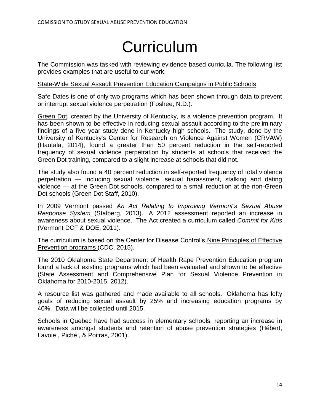## **Curriculum**

The Commission was tasked with reviewing evidence based curricula. The following list provides examples that are useful to our work.

### State-Wide Sexual Assault Prevention Education Campaigns in Public Schools

Safe Dates is one of only two programs which has been shown through data to prevent or interrupt sexual violence perpetration [\(](https://www.crimesolutions.gov/ProgramDetails.aspx?ID=142)Foshee, N.D.).

Green Dot, created by the University of Kentucky, is a violence prevention program. It has been shown to be effective in reducing sexual assault according to the preliminary findings of a five year study done in Kentucky high schools. The study, done by th[e](http://www.uky.edu/CRVAW/index.htm) [University of Kentucky's Center for Research on Violence Against Women \(CRVAW\)](http://www.uky.edu/CRVAW/index.htm) (Hautala, 2014), found a greater than 50 percent reduction in the self-reported frequency of sexual violence perpetration by students at schools that received the Green Dot training, compared to a slight increase at schools that did not.

The study also found a 40 percent reduction in self-reported frequency of total violence perpetration — including sexual violence, sexual harassment, stalking and dating violence — at the Green Dot schools, compared to a small reduction at the non-Green Dot schools (Green Dot Staff, 2010).

In 2009 Vermont passed *An Act Relating to Improving Vermont's Sexual Abuse Response Syste[m](http://www.leg.state.vt.us/reports/2013ExternalReports/287054.pdf)* (Stalberg, 2013). A 2012 assessment reported an increase in awareness about sexual violence. The Act created a curriculum called *Commit for Kid[s](http://dcf.vermont.gov/stepup/act_one_schools)* (Vermont DCF & DOE, 2011).

The curriculum is based on the Center for Disease Control's Nine Principles of Effective Prevention program[s](http://www.cdc.gov/violenceprevention/sexualviolence/prevention.html) (CDC, 2015).

The 2010 Oklahoma State Department of Health Rape Prevention Education program found a lack of existing programs which had been evaluated and shown to be effective (State Assessment and Comprehensive Plan for Sexual Violence Prevention in Oklahoma for 2010-2015, 2012).

A resource list was gathered and made available to all schools. Oklahoma has lofty goals of reducing sexual assault by 25% and increasing education programs by 40%. Data will be collected until 2015.

Schools in Quebec have had success in elementary schools, reporting an increase in awareness amongst students and retention of abuse prevention strategies [\(](http://www.ncbi.nlm.nih.gov/pubmed/11370723)Hébert, Lavoie , Piché , & Poitras, 2001).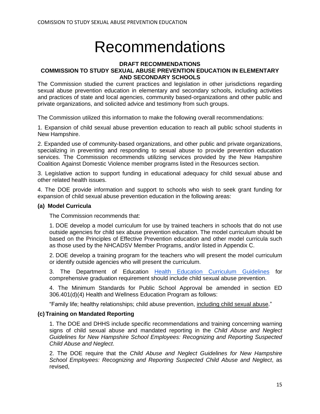## Recommendations

#### **DRAFT RECOMMENDATIONS COMMISSION TO STUDY SEXUAL ABUSE PREVENTION EDUCATION IN ELEMENTARY AND SECONDARY SCHOOLS**

The Commission studied the current practices and legislation in other jurisdictions regarding sexual abuse prevention education in elementary and secondary schools, including activities and practices of state and local agencies, community based-organizations and other public and private organizations, and solicited advice and testimony from such groups.

The Commission utilized this information to make the following overall recommendations:

1. Expansion of child sexual abuse prevention education to reach all public school students in New Hampshire.

2. Expanded use of community-based organizations, and other public and private organizations, specializing in preventing and responding to sexual abuse to provide prevention education services. The Commission recommends utilizing services provided by the New Hampshire Coalition Against Domestic Violence member programs listed in the Resources section.

3. Legislative action to support funding in educational adequacy for child sexual abuse and other related health issues.

4. The DOE provide information and support to schools who wish to seek grant funding for expansion of child sexual abuse prevention education in the following areas:

#### **(a) Model Curricula**

The Commission recommends that:

1. DOE develop a model curriculum for use by trained teachers in schools that do not use outside agencies for child sex abuse prevention education. The model curriculum should be based on the Principles of Effective Prevention education and other model curricula such as those used by the NHCADSV Member Programs, and/or listed in Appendix C.

2. DOE develop a training program for the teachers who will present the model curriculum or identify outside agencies who will present the curriculum.

3. The Department of Education [Health Education Curriculum Guidelines](http://education.nh.gov/instruction/school_health/documents/curr_guidelines.pdf) for comprehensive graduation requirement should include child sexual abuse prevention.

4. The Minimum Standards for Public School Approval be amended in section ED 306.401(d)(4) Health and Wellness Education Program as follows:

"Family life; healthy relationships; child abuse prevention, including child sexual abuse."

#### **(c) Training on Mandated Reporting**

1. The DOE and DHHS include specific recommendations and training concerning warning signs of child sexual abuse and mandated reporting in the *Child Abuse and Neglect Guidelines for New Hampshire School Employees: Recognizing and Reporting Suspected Child Abuse and Neglect*.

2. The DOE require that the *Child Abuse and Neglect Guidelines for New Hampshire School Employees: Recognizing and Reporting Suspected Child Abuse and Neglect*, as revised,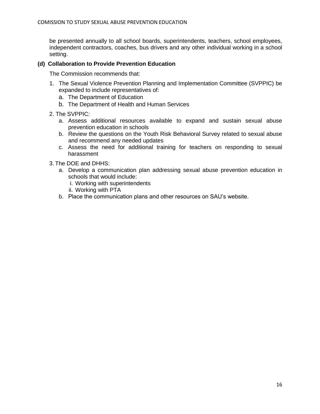be presented annually to all school boards, superintendents, teachers, school employees, independent contractors, coaches, bus drivers and any other individual working in a school setting.

#### **(d) Collaboration to Provide Prevention Education**

The Commission recommends that:

- 1. The Sexual Violence Prevention Planning and Implementation Committee (SVPPIC) be expanded to include representatives of:
	- a. The Department of Education
	- b. The Department of Health and Human Services
- 2. The SVPPIC:
	- a. Assess additional resources available to expand and sustain sexual abuse prevention education in schools
	- b. Review the questions on the Youth Risk Behavioral Survey related to sexual abuse and recommend any needed updates
	- c. Assess the need for additional training for teachers on responding to sexual harassment
- 3. The DOE and DHHS:
	- a. Develop a communication plan addressing sexual abuse prevention education in schools that would include:
		- i. Working with superintendents
		- ii. Working with PTA
	- b. Place the communication plans and other resources on SAU's website.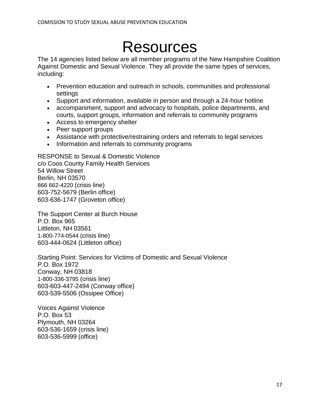## Resources

The 14 agencies listed below are all member programs of the New Hampshire Coalition Against Domestic and Sexual Violence. They all provide the same types of services, including:

- Prevention education and outreach in schools, communities and professional settings
- Support and information, available in person and through a 24-hour hotline
- accompaniment, support and advocacy to hospitals, police departments, and courts, support groups, information and referrals to community programs
- Access to emergency shelter
- Peer support groups
- Assistance with protective/restraining orders and referrals to legal services
- Information and referrals to community programs

RESPONSE to Sexual & Domestic Violence c/o Coos County Family Health Services 54 Willow Street Berlin, NH 03570 866 662-4220 (crisis line) 603-752-5679 (Berlin office) 603-636-1747 (Groveton office)

The Support Center at Burch House P.O. Box 965 Littleton, NH 03561 1-800-774-0544 (crisis line) 603-444-0624 (Littleton office)

Starting Point: Services for Victims of Domestic and Sexual Violence P.O. Box 1972 Conway, NH 03818 1-800-336-3795 (crisis line) 603-603-447-2494 (Conway office) 603-539-5506 (Ossipee Office)

Voices Against Violence P.O. Box 53 Plymouth, NH 03264 603-536-1659 (crisis line) 603-536-5999 (office)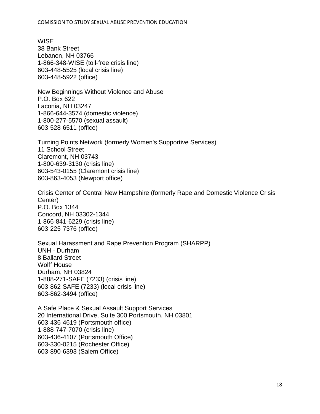#### COMISSION TO STUDY SEXUAL ABUSE PREVENTION EDUCATION

**WISE** 38 Bank Street Lebanon, NH 03766 1-866-348-WISE (toll-free crisis line) 603-448-5525 (local crisis line) 603-448-5922 (office)

New Beginnings Without Violence and Abuse P.O. Box 622 Laconia, NH 03247 1-866-644-3574 (domestic violence) 1-800-277-5570 (sexual assault) 603-528-6511 (office)

Turning Points Network (formerly Women's Supportive Services) 11 School Street Claremont, NH 03743 1-800-639-3130 (crisis line) 603-543-0155 (Claremont crisis line) 603-863-4053 (Newport office)

Crisis Center of Central New Hampshire (formerly Rape and Domestic Violence Crisis Center) P.O. Box 1344 Concord, NH 03302-1344 1-866-841-6229 (crisis line) 603-225-7376 (office)

Sexual Harassment and Rape Prevention Program (SHARPP) UNH - Durham 8 Ballard Street Wolff House Durham, NH 03824 1-888-271-SAFE (7233) (crisis line) 603-862-SAFE (7233) (local crisis line) 603-862-3494 (office)

A Safe Place & Sexual Assault Support Services 20 International Drive, Suite 300 Portsmouth, NH 03801 603-436-4619 (Portsmouth office) 1-888-747-7070 (crisis line) 603-436-4107 (Portsmouth Office) 603-330-0215 (Rochester Office) 603-890-6393 (Salem Office)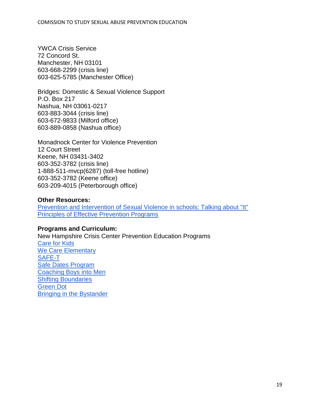YWCA Crisis Service 72 Concord St. Manchester, NH 03101 603-668-2299 (crisis line) 603-625-5785 (Manchester Office)

Bridges: Domestic & Sexual Violence Support P.O. Box 217 Nashua, NH 03061-0217 603-883-3044 (crisis line) 603-672-9833 (Milford office) 603-889-0858 (Nashua office)

Monadnock Center for Violence Prevention 12 Court Street Keene, NH 03431-3402 603-352-3782 (crisis line) 1-888-511-mvcp(6287) (toll-free hotline) 603-352-3782 (Keene office) 603-209-4015 (Peterborough office)

#### **Other Resources:**

[Prevention and Intervention of Sexual Violence in schools: Talking about "It"](http://www.co.ramsey.mn.us/NR/rdonlyres/AD200AC3-F5D9-4AD8-B47B-9B90CB84FAEE/811/Talkingaboutit.pdf) [Principles of Effective Prevention Programs](http://www.mentoring.org/downloads/mentoring_4.pdf)

### **Programs and Curriculum:**

New Hampshire Crisis Center Prevention Education Programs [Care for Kids](http://pcavt.org/index.php?id=471) [We Care Elementary](http://pcavt.org/index.php?id=470) [SAFE-T](http://pcavt.org/index.php?id=171) [Safe Dates Program](http://www.hazelden.org/web/public/safedatesproduct.page) [Coaching Boys into Men](http://www.futureswithoutviolence.org/engaging-men/coaching-boys-into-men/) [Shifting Boundaries](https://www.wcwonline.org/pdf/nstein/lss_versionshiftingboundaries_nstein_presentation_oct2011.pdf) [Green Dot](http://www.livethegreendot.com/) [Bringing in the Bystander](http://cola.unh.edu/prevention-innovations/bystander)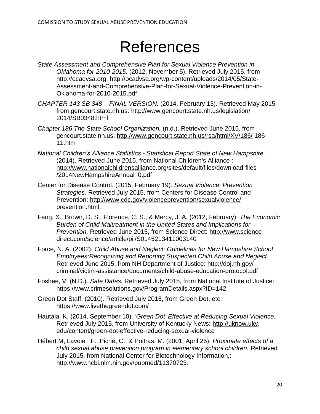## References

- *State Assessment and Comprehensive Plan for Sexual Violence Prevention in Oklahoma for 2010-2015.* (2012, November 5). Retrieved July 2015, from http://ocadvsa.org:<http://ocadvsa.org/wp-content/uploads/2014/05/State->Assessment-and-Comprehensive-Plan-for-Sexual-Violence-Prevention-in-Oklahoma-for-2010-2015.pdf
- *CHAPTER 143 SB 348 – FINAL VERSION.* (2014, February 13). Retrieved May 2015, from gencourt.state.nh.us: [http://www.gencourt.state.nh.us/legislation/](http://www.gencourt.state.nh.us/legislation) 2014/SB0348.html
- *Chapter 186 The State School Organization.* (n.d.). Retrieved June 2015, from gencourt.state.nh.us:<http://www.gencourt.state.nh.us/rsa/html/XV/186/> 186- 11.htm
- *National Children's Alliance Statistics - Statistical Report State of New Hampshire.* (2014). Retrieved June 2015, from National Children's Alliance : [http://www.nationalchildrensallian](http://www.nationalchildrensallia/)ce.org/sites/default/files/download-files /2014NewHampshireAnnual\_0.pdf
- Center for Disease Control. (2015, February 19). *Sexual Violence: Prevention Strategies.* Retrieved July 2015, from Centers for Disease Control and Prevention:<http://www.cdc.gov/violenceprevention/sexualviolence/> prevention.html.
- Fang, X., Brown, D. S., Florence, C. S., & Mercy, J. A. (2012, February). *The Economic Burden of Child Maltreatment in the United States and Implications for Prevention.* Retrieved June 2015, from Science Direct: [http://www.science](http://www.sciencedirect.com/science/article/pii/S0145213411003140)  [direct.com/science/article/pii/S0145213411003140](http://www.sciencedirect.com/science/article/pii/S0145213411003140)
- Force, N. A. (2002). *Child Abuse and Neglect: Guidelines for New Hampshire School Employees:Recognizing and Reporting Suspected Child Abuse and Neglect.* Retrieved June 2015, from NH Department of Justice:<http://doj.nh.gov/> criminal/victim-assistance/documents/child-abuse-education-protocol.pdf
- Foshee, V. (N.D.). *Safe Dates.* Retrieved July 2015, from National Institute of Justice: https://www.crimesolutions.gov/ProgramDetails.aspx?ID=142
- Green Dot Staff. (2010). Retrieved July 2015, from Green Dot, etc: https://www.livethegreendot.com/
- Hautala, K. (2014, September 10). *'Green Dot' Effective at Reducing Sexual Violence.* Retrieved July 2015, from University of Kentucky News: [http://uknow.uky.](http://uknow.uky/) edu/content/green-dot-effective-reducing-sexual-violence
- Hébert M, Lavoie , F., Piché, C., & Poitras, M. (2001, April 25). *Proximate effects of a child sexual abuse prevention program in elementary school children.* Retrieved July 2015, from National Center for Biotechnology Information,: [http://www.ncbi.nlm.nih.gov/pubmed/11370723.](http://www.ncbi.nlm.nih.gov/pubmed/11370723)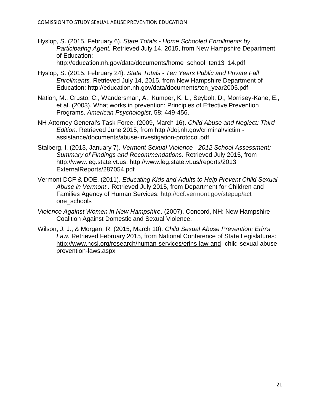Hyslop, S. (2015, February 6). *State Totals - Home Schooled Enrollments by Participating Agent.* Retrieved July 14, 2015, from New Hampshire Department of Education:

http://education.nh.gov/data/documents/home\_school\_ten13\_14.pdf

- Hyslop, S. (2015, February 24). *State Totals - Ten Years Public and Private Fall Enrollments.* Retrieved July 14, 2015, from New Hampshire Department of Education: http://education.nh.gov/data/documents/ten\_year2005.pdf
- Nation, M., Crusto, C., Wandersman, A., Kumper, K. L., Seybolt, D., Morrisey-Kane, E., et al. (2003). What works in prevention: Principles of Effective Prevention Programs. *American Psychologist*, 58: 449-456.
- NH Attorney General's Task Force. (2009, March 16). *Child Abuse and Neglect: Third Edition.* Retrieved June 2015, from<http://doj.nh.gov/criminal/victim> assistance/documents/abuse-investigation-protocol.pdf
- Stalberg, I. (2013, January 7). *Vermont Sexual Violence - 2012 School Assessment: Summary of Findings and Recommendations.* Retrieved July 2015, from http://www.leg.state.vt.us:<http://www.leg.state.vt.us/reports/2013> ExternalReports/287054.pdf
- Vermont DCF & DOE. (2011). *Educating Kids and Adults to Help Prevent Child Sexual Abuse in Vermont .* Retrieved July 2015, from Department for Children and Families Agency of Human Services: [http://dcf.vermont.gov/stepup/act\\_](http://dcf.vermont.gov/stepup/act_) one\_schools
- *Violence Against Women in New Hampshire*. (2007). Concord, NH: New Hampshire Coalition Against Domestic and Sexual Violence.
- Wilson, J. J., & Morgan, R. (2015, March 10). *Child Sexual Abuse Prevention: Erin's Law.* Retrieved February 2015, from National Conference of State Legislatures: <http://www.ncsl.org/research/human-services/erins-law-and> -child-sexual-abuseprevention-laws.aspx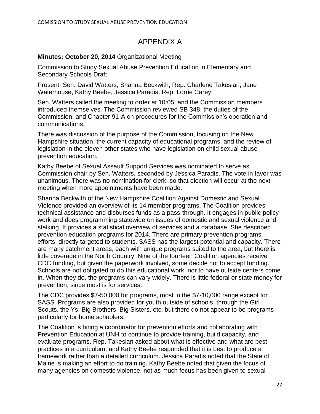## APPENDIX A

## **Minutes: October 20, 2014** Organizational Meeting

Commission to Study Sexual Abuse Prevention Education in Elementary and Secondary Schools Draft

Present: Sen. David Watters, Shanna Beckwith, Rep. Charlene Takesian, Jane Waterhouse, Kathy Beebe, Jessica Paradis, Rep. Lorrie Carey.

Sen. Watters called the meeting to order at 10:05, and the Commission members introduced themselves. The Commission reviewed SB 348, the duties of the Commission, and Chapter 91-A on procedures for the Commission's operation and communications.

There was discussion of the purpose of the Commission, focusing on the New Hampshire situation, the current capacity of educational programs, and the review of legislation in the eleven other states who have legislation on child sexual abuse prevention education.

Kathy Beebe of Sexual Assault Support Services was nominated to serve as Commission chair by Sen. Watters, seconded by Jessica Paradis. The vote in favor was unanimous. There was no nomination for clerk, so that election will occur at the next meeting when more appointments have been made.

Shanna Beckwith of the New Hampshire Coalition Against Domestic and Sexual Violence provided an overview of its 14 member programs. The Coalition provides technical assistance and disburses funds as a pass-through. It engages in public policy work and does programming statewide on issues of domestic and sexual violence and stalking. It provides a statistical overview of services and a database. She described prevention education programs for 2014. There are primary prevention programs, efforts, directly targeted to students. SASS has the largest potential and capacity. There are many catchment areas, each with unique programs suited to the area, but there is little coverage in the North Country. Nine of the fourteen Coalition agencies receive CDC funding, but given the paperwork involved, some decide not to accept funding. Schools are not obligated to do this educational work, nor to have outside centers come in. When they do, the programs can vary widely. There is little federal or state money for prevention, since most is for services.

The CDC provides \$7-50,000 for programs, most in the \$7-10,000 range except for SASS. Programs are also provided for youth outside of schools, through the Girl Scouts, the Ys, Big Brothers, Big Sisters, etc. but there do not appear to be programs particularly for home schoolers.

The Coalition is hiring a coordinator for prevention efforts and collaborating with Prevention Education at UNH to continue to provide training, build capacity, and evaluate programs. Rep. Takesian asked about what is effective and what are best practices in a curriculum, and Kathy Beebe responded that it is best to produce a framework rather than a detailed curriculum. Jessica Paradis noted that the State of Maine is making an effort to do training. Kathy Beebe noted that given the focus of many agencies on domestic violence, not as much focus has been given to sexual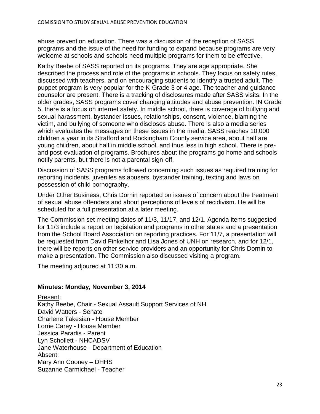abuse prevention education. There was a discussion of the reception of SASS programs and the issue of the need for funding to expand because programs are very welcome at schools and schools need multiple programs for them to be effective.

Kathy Beebe of SASS reported on its programs. They are age appropriate. She described the process and role of the programs in schools. They focus on safety rules, discussed with teachers, and on encouraging students to identify a trusted adult. The puppet program is very popular for the K-Grade 3 or 4 age. The teacher and guidance counselor are present. There is a tracking of disclosures made after SASS visits. In the older grades, SASS programs cover changing attitudes and abuse prevention. IN Grade 5, there is a focus on internet safety. In middle school, there is coverage of bullying and sexual harassment, bystander issues, relationships, consent, violence, blaming the victim, and bullying of someone who discloses abuse. There is also a media series which evaluates the messages on these issues in the media. SASS reaches 10,000 children a year in its Strafford and Rockingham County service area, about half are young children, about half in middle school, and thus less in high school. There is preand post-evaluation of programs. Brochures about the programs go home and schools notify parents, but there is not a parental sign-off.

Discussion of SASS programs followed concerning such issues as required training for reporting incidents, juveniles as abusers, bystander training, texting and laws on possession of child pornography.

Under Other Business, Chris Dornin reported on issues of concern about the treatment of sexual abuse offenders and about perceptions of levels of recidivism. He will be scheduled for a full presentation at a later meeting.

The Commission set meeting dates of 11/3, 11/17, and 12/1. Agenda items suggested for 11/3 include a report on legislation and programs in other states and a presentation from the School Board Association on reporting practices. For 11/7, a presentation will be requested from David Finkelhor and Lisa Jones of UNH on research, and for 12/1, there will be reports on other service providers and an opportunity for Chris Dornin to make a presentation. The Commission also discussed visiting a program.

The meeting adjoured at 11:30 a.m.

### **Minutes: Monday, November 3, 2014**

Present: Kathy Beebe, Chair - Sexual Assault Support Services of NH David Watters - Senate Charlene Takesian - House Member Lorrie Carey - House Member Jessica Paradis - Parent Lyn Schollett - NHCADSV Jane Waterhouse - Department of Education Absent: Mary Ann Cooney – DHHS Suzanne Carmichael - Teacher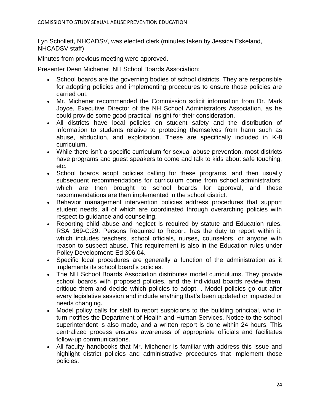Lyn Schollett, NHCADSV, was elected clerk (minutes taken by Jessica Eskeland, NHCADSV staff)

Minutes from previous meeting were approved.

Presenter Dean Michener, NH School Boards Association:

- School boards are the governing bodies of school districts. They are responsible for adopting policies and implementing procedures to ensure those policies are carried out.
- Mr. Michener recommended the Commission solicit information from Dr. Mark Joyce, Executive Director of the NH School Administrators Association, as he could provide some good practical insight for their consideration.
- All districts have local policies on student safety and the distribution of information to students relative to protecting themselves from harm such as abuse, abduction, and exploitation. These are specifically included in K-8 curriculum.
- While there isn't a specific curriculum for sexual abuse prevention, most districts have programs and guest speakers to come and talk to kids about safe touching, etc.
- School boards adopt policies calling for these programs, and then usually subsequent recommendations for curriculum come from school administrators, which are then brought to school boards for approval, and these recommendations are then implemented in the school district.
- Behavior management intervention policies address procedures that support student needs, all of which are coordinated through overarching policies with respect to guidance and counseling.
- Reporting child abuse and neglect is required by statute and Education rules. RSA 169-C:29: Persons Required to Report, has the duty to report within it, which includes teachers, school officials, nurses, counselors, or anyone with reason to suspect abuse. This requirement is also in the Education rules under Policy Development: Ed 306.04.
- Specific local procedures are generally a function of the administration as it implements its school board's policies.
- The NH School Boards Association distributes model curriculums. They provide school boards with proposed policies, and the individual boards review them, critique them and decide which policies to adopt. . Model policies go out after every legislative session and include anything that's been updated or impacted or needs changing.
- Model policy calls for staff to report suspicions to the building principal, who in turn notifies the Department of Health and Human Services. Notice to the school superintendent is also made, and a written report is done within 24 hours. This centralized process ensures awareness of appropriate officials and facilitates follow-up communications.
- All faculty handbooks that Mr. Michener is familiar with address this issue and highlight district policies and administrative procedures that implement those policies.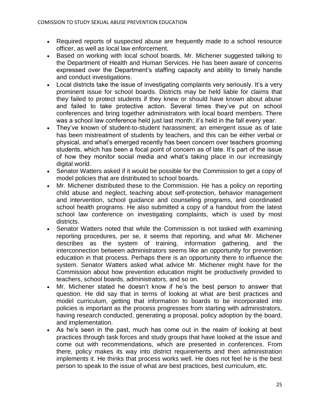- Required reports of suspected abuse are frequently made to a school resource officer, as well as local law enforcement.
- Based on working with local school boards, Mr. Michener suggested talking to the Department of Health and Human Services. He has been aware of concerns expressed over the Department's staffing capacity and ability to timely handle and conduct investigations.
- Local districts take the issue of investigating complaints very seriously. It's a very prominent issue for school boards. Districts may be held liable for claims that they failed to protect students if they knew or should have known about abuse and failed to take protective action. Several times they've put on school conferences and bring together administrators with local board members. There was a school law conference held just last month; it's held in the fall every year.
- They've known of student-to-student harassment; an emergent issue as of late has been mistreatment of students by teachers, and this can be either verbal or physical, and what's emerged recently has been concern over teachers grooming students, which has been a focal point of concern as of late. It's part of the issue of how they monitor social media and what's taking place in our increasingly digital world.
- Senator Watters asked if it would be possible for the Commission to get a copy of model policies that are distributed to school boards.
- Mr. Michener distributed these to the Commission. He has a policy on reporting child abuse and neglect, teaching about self-protection, behavior management and intervention, school guidance and counseling programs, and coordinated school health programs. He also submitted a copy of a handout from the latest school law conference on investigating complaints, which is used by most districts.
- Senator Watters noted that while the Commission is not tasked with examining reporting procedures, per se, it seems that reporting, and what Mr. Michener describes as the system of training, information gathering, and the interconnection between administrators seems like an opportunity for prevention education in that process. Perhaps there is an opportunity there to influence the system. Senator Watters asked what advice Mr. Michener might have for the Commission about how prevention education might be productively provided to teachers, school boards, administrators, and so on.
- Mr. Michener stated he doesn't know if he's the best person to answer that question. He did say that in terms of looking at what are best practices and model curriculum, getting that information to boards to be incorporated into policies is important as the process progresses from starting with administrators, having research conducted, generating a proposal, policy adoption by the board, and implementation.
- As he's seen in the past, much has come out in the realm of looking at best practices through task forces and study groups that have looked at the issue and come out with recommendations, which are presented in conferences. From there, policy makes its way into district requirements and then administration implements it. He thinks that process works well. He does not feel he is the best person to speak to the issue of what are best practices, best curriculum, etc.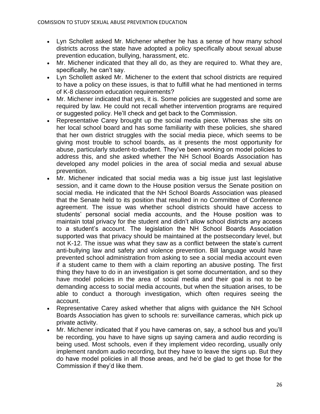- Lyn Schollett asked Mr. Michener whether he has a sense of how many school districts across the state have adopted a policy specifically about sexual abuse prevention education, bullying, harassment, etc.
- Mr. Michener indicated that they all do, as they are required to. What they are, specifically, he can't say.
- Lyn Schollett asked Mr. Michener to the extent that school districts are required to have a policy on these issues, is that to fulfill what he had mentioned in terms of K-8 classroom education requirements?
- Mr. Michener indicated that yes, it is. Some policies are suggested and some are required by law. He could not recall whether intervention programs are required or suggested policy. He'll check and get back to the Commission.
- Representative Carey brought up the social media piece. Whereas she sits on her local school board and has some familiarity with these policies, she shared that her own district struggles with the social media piece, which seems to be giving most trouble to school boards, as it presents the most opportunity for abuse, particularly student-to-student. They've been working on model policies to address this, and she asked whether the NH School Boards Association has developed any model policies in the area of social media and sexual abuse prevention.
- Mr. Michener indicated that social media was a big issue just last legislative session, and it came down to the House position versus the Senate position on social media. He indicated that the NH School Boards Association was pleased that the Senate held to its position that resulted in no Committee of Conference agreement. The issue was whether school districts should have access to students' personal social media accounts, and the House position was to maintain total privacy for the student and didn't allow school districts any access to a student's account. The legislation the NH School Boards Association supported was that privacy should be maintained at the postsecondary level, but not K-12. The issue was what they saw as a conflict between the state's current anti-bullying law and safety and violence prevention. Bill language would have prevented school administration from asking to see a social media account even if a student came to them with a claim reporting an abusive posting. The first thing they have to do in an investigation is get some documentation, and so they have model policies in the area of social media and their goal is not to be demanding access to social media accounts, but when the situation arises, to be able to conduct a thorough investigation, which often requires seeing the account.
- Representative Carey asked whether that aligns with guidance the NH School Boards Association has given to schools re: surveillance cameras, which pick up private activity.
- Mr. Michener indicated that if you have cameras on, say, a school bus and you'll be recording, you have to have signs up saying camera and audio recording is being used. Most schools, even if they implement video recording, usually only implement random audio recording, but they have to leave the signs up. But they do have model policies in all those areas, and he'd be glad to get those for the Commission if they'd like them.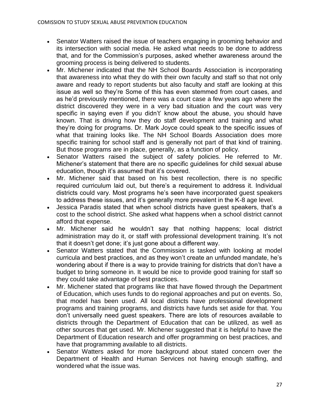- Senator Watters raised the issue of teachers engaging in grooming behavior and its intersection with social media. He asked what needs to be done to address that, and for the Commission's purposes, asked whether awareness around the grooming process is being delivered to students.
- Mr. Michener indicated that the NH School Boards Association is incorporating that awareness into what they do with their own faculty and staff so that not only aware and ready to report students but also faculty and staff are looking at this issue as well so they're Some of this has even stemmed from court cases, and as he'd previously mentioned, there was a court case a few years ago where the district discovered they were in a very bad situation and the court was very specific in saying even if you didn't' know about the abuse, you should have known. That is driving how they do staff development and training and what they're doing for programs. Dr. Mark Joyce could speak to the specific issues of what that training looks like. The NH School Boards Association does more specific training for school staff and is generally not part of that kind of training. But those programs are in place, generally, as a function of policy.
- Senator Watters raised the subject of safety policies. He referred to Mr. Michener's statement that there are no specific guidelines for child sexual abuse education, though it's assumed that it's covered.
- Mr. Michener said that based on his best recollection, there is no specific required curriculum laid out, but there's a requirement to address it. Individual districts could vary. Most programs he's seen have incorporated guest speakers to address these issues, and it's generally more prevalent in the K-8 age level.
- Jessica Paradis stated that when school districts have guest speakers, that's a cost to the school district. She asked what happens when a school district cannot afford that expense.
- Mr. Michener said he wouldn't say that nothing happens; local district administration may do it, or staff with professional development training. It's not that it doesn't get done; it's just gone about a different way.
- Senator Watters stated that the Commission is tasked with looking at model curricula and best practices, and as they won't create an unfunded mandate, he's wondering about if there is a way to provide training for districts that don't have a budget to bring someone in. It would be nice to provide good training for staff so they could take advantage of best practices.
- Mr. Michener stated that programs like that have flowed through the Department of Education, which uses funds to do regional approaches and put on events. So, that model has been used. All local districts have professional development programs and training programs, and districts have funds set aside for that. You don't universally need guest speakers. There are lots of resources available to districts through the Department of Education that can be utilized, as well as other sources that get used. Mr. Michener suggested that it is helpful to have the Department of Education research and offer programming on best practices, and have that programming available to all districts.
- Senator Watters asked for more background about stated concern over the Department of Health and Human Services not having enough staffing, and wondered what the issue was.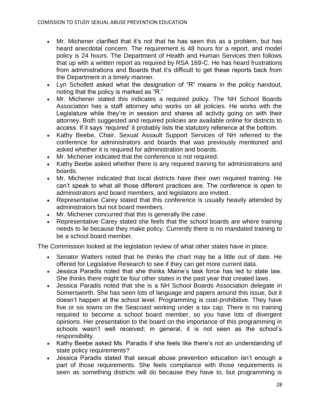- Mr. Michener clarified that it's not that he has seen this as a problem, but has heard anecdotal concern. The requirement is 48 hours for a report, and model policy is 24 hours. The Department of Health and Human Services then follows that up with a written report as required by RSA 169-C. He has heard frustrations from administrations and Boards that it's difficult to get these reports back from the Department in a timely manner.
- Lyn Schollett asked what the designation of "R" means in the policy handout, noting that the policy is marked as "R."
- Mr. Michener stated this indicates a required policy. The NH School Boards Association has a staff attorney who works on all policies. He works with the Legislature while they're in session and shares all activity going on with their attorney. Both suggested and required policies are available online for districts to access. If it says 'required' it probably lists the statutory reference at the bottom.
- Kathy Beebe, Chair, Sexual Assault Support Services of NH referred to the conference for administrators and boards that was previously mentioned and asked whether it is required for administration and boards.
- Mr. Michener indicated that the conference is not required.
- Kathy Beebe asked whether there is any required training for administrations and boards.
- Mr. Michener indicated that local districts have their own required training. He can't speak to what all those different practices are. The conference is open to administrators and board members, and legislators are invited.
- Representative Carey stated that this conference is usually heavily attended by administrators but not board members.
- Mr. Michener concurred that this is generally the case.
- Representative Carey stated she feels that the school boards are where training needs to lie because they make policy. Currently there is no mandated training to be a school board member.

The Commission looked at the legislation review of what other states have in place.

- Senator Watters noted that he thinks the chart may be a little out of date. He offered for Legislative Research to see if they can get more current data.
- Jessica Paradis noted that she thinks Maine's task force has led to state law. She thinks there might be four other states in the past year that created laws.
- Jessica Paradis noted that she is a NH School Boards Association delegate in Somersworth. She has seen lots of language and papers around this issue, but it doesn't happen at the school level. Programming is cost-prohibitive. They have five or six towns on the Seacoast working under a tax cap. There is no training required to become a school board member, so you have lots of divergent opinions. Her presentation to the board on the importance of this programming in schools wasn't well received; in general, it is not seen as the school's responsibility.
- Kathy Beebe asked Ms. Paradis if she feels like there's not an understanding of state policy requirements?
- Jessica Paradis stated that sexual abuse prevention education isn't enough a part of those requirements. She feels compliance with those requirements is seen as something districts will do because they have to, but programming is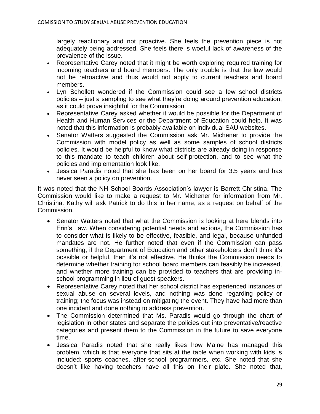largely reactionary and not proactive. She feels the prevention piece is not adequately being addressed. She feels there is woeful lack of awareness of the prevalence of the issue.

- Representative Carey noted that it might be worth exploring required training for incoming teachers and board members. The only trouble is that the law would not be retroactive and thus would not apply to current teachers and board members.
- Lyn Schollett wondered if the Commission could see a few school districts policies – just a sampling to see what they're doing around prevention education, as it could prove insightful for the Commission.
- Representative Carey asked whether it would be possible for the Department of Health and Human Services or the Department of Education could help. It was noted that this information is probably available on individual SAU websites.
- Senator Watters suggested the Commission ask Mr. Michener to provide the Commission with model policy as well as some samples of school districts policies. It would be helpful to know what districts are already doing in response to this mandate to teach children about self-protection, and to see what the policies and implementation look like.
- Jessica Paradis noted that she has been on her board for 3.5 years and has never seen a policy on prevention.

It was noted that the NH School Boards Association's lawyer is Barrett Christina. The Commission would like to make a request to Mr. Michener for information from Mr. Christina. Kathy will ask Patrick to do this in her name, as a request on behalf of the Commission.

- Senator Watters noted that what the Commission is looking at here blends into Erin's Law. When considering potential needs and actions, the Commission has to consider what is likely to be effective, feasible, and legal, because unfunded mandates are not. He further noted that even if the Commission can pass something, if the Department of Education and other stakeholders don't think it's possible or helpful, then it's not effective. He thinks the Commission needs to determine whether training for school board members can feasibly be increased, and whether more training can be provided to teachers that are providing inschool programming in lieu of guest speakers.
- Representative Carey noted that her school district has experienced instances of sexual abuse on several levels, and nothing was done regarding policy or training; the focus was instead on mitigating the event. They have had more than one incident and done nothing to address prevention.
- The Commission determined that Ms. Paradis would go through the chart of legislation in other states and separate the policies out into preventative/reactive categories and present them to the Commission in the future to save everyone time.
- Jessica Paradis noted that she really likes how Maine has managed this problem, which is that everyone that sits at the table when working with kids is included: sports coaches, after-school programmers, etc. She noted that she doesn't like having teachers have all this on their plate. She noted that,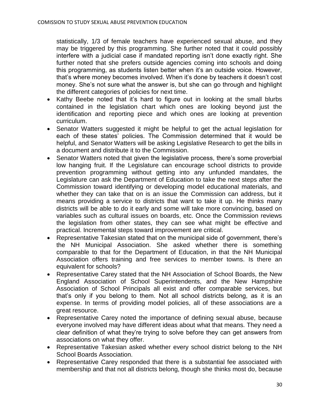statistically, 1/3 of female teachers have experienced sexual abuse, and they may be triggered by this programming. She further noted that it could possibly interfere with a judicial case if mandated reporting isn't done exactly right. She further noted that she prefers outside agencies coming into schools and doing this programming, as students listen better when it's an outside voice. However, that's where money becomes involved. When it's done by teachers it doesn't cost money. She's not sure what the answer is, but she can go through and highlight the different categories of policies for next time.

- Kathy Beebe noted that it's hard to figure out in looking at the small blurbs contained in the legislation chart which ones are looking beyond just the identification and reporting piece and which ones are looking at prevention curriculum.
- Senator Watters suggested it might be helpful to get the actual legislation for each of these states' policies. The Commission determined that it would be helpful, and Senator Watters will be asking Legislative Research to get the bills in a document and distribute it to the Commission.
- Senator Watters noted that given the legislative process, there's some proverbial low hanging fruit. If the Legislature can encourage school districts to provide prevention programming without getting into any unfunded mandates, the Legislature can ask the Department of Education to take the next steps after the Commission toward identifying or developing model educational materials, and whether they can take that on is an issue the Commission can address, but it means providing a service to districts that want to take it up. He thinks many districts will be able to do it early and some will take more convincing, based on variables such as cultural issues on boards, etc. Once the Commission reviews the legislation from other states, they can see what might be effective and practical. Incremental steps toward improvement are critical.
- Representative Takesian stated that on the municipal side of government, there's the NH Municipal Association. She asked whether there is something comparable to that for the Department of Education, in that the NH Municipal Association offers training and free services to member towns. Is there an equivalent for schools?
- Representative Carey stated that the NH Association of School Boards, the New England Association of School Superintendents, and the New Hampshire Association of School Principals all exist and offer comparable services, but that's only if you belong to them. Not all school districts belong, as it is an expense. In terms of providing model policies, all of these associations are a great resource.
- Representative Carey noted the importance of defining sexual abuse, because everyone involved may have different ideas about what that means. They need a clear definition of what they're trying to solve before they can get answers from associations on what they offer.
- Representative Takesian asked whether every school district belong to the NH School Boards Association.
- Representative Carey responded that there is a substantial fee associated with membership and that not all districts belong, though she thinks most do, because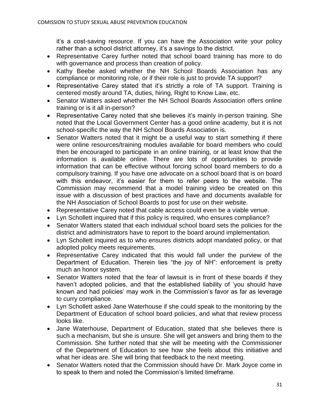it's a cost-saving resource. If you can have the Association write your policy rather than a school district attorney, it's a savings to the district.

- Representative Carey further noted that school board training has more to do with governance and process than creation of policy.
- Kathy Beebe asked whether the NH School Boards Association has any compliance or monitoring role, or if their role is just to provide TA support?
- Representative Carey stated that it's strictly a role of TA support. Training is centered mostly around TA, duties, hiring, Right to Know Law, etc.
- Senator Watters asked whether the NH School Boards Association offers online training or is it all in-person?
- Representative Carey noted that she believes it's mainly in-person training. She noted that the Local Government Center has a good online academy, but it is not school-specific the way the NH School Boards Association is.
- Senator Watters noted that it might be a useful way to start something if there were online resources/training modules available for board members who could then be encouraged to participate in an online training, or at least know that the information is available online. There are lots of opportunities to provide information that can be effective without forcing school board members to do a compulsory training. If you have one advocate on a school board that is on board with this endeavor, it's easier for them to refer peers to the website. The Commission may recommend that a model training video be created on this issue with a discussion of best practices and have and documents available for the NH Association of School Boards to post for use on their website.
- Representative Carey noted that cable access could even be a viable venue.
- Lyn Schollett inquired that if this policy is required, who ensures compliance?
- Senator Watters stated that each individual school board sets the policies for the district and administrators have to report to the board around implementation.
- Lyn Schollett inquired as to who ensures districts adopt mandated policy, or that adopted policy meets requirements.
- Representative Carey indicated that this would fall under the purview of the Department of Education. Therein lies "the joy of NH": enforcement is pretty much an honor system.
- Senator Watters noted that the fear of lawsuit is in front of these boards if they haven't adopted policies, and that the established liability of 'you should have known and had policies' may work in the Commission's favor as far as leverage to curry compliance.
- Lyn Schollett asked Jane Waterhouse if she could speak to the monitoring by the Department of Education of school board policies, and what that review process looks like.
- Jane Waterhouse, Department of Education, stated that she believes there is such a mechanism, but she is unsure. She will get answers and bring them to the Commission. She further noted that she will be meeting with the Commissioner of the Department of Education to see how she feels about this initiative and what her ideas are. She will bring that feedback to the next meeting.
- Senator Watters noted that the Commission should have Dr. Mark Joyce come in to speak to them and noted the Commission's limited timeframe.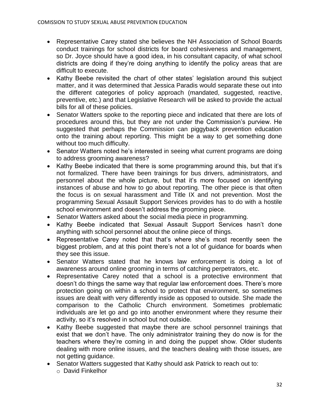- Representative Carey stated she believes the NH Association of School Boards conduct trainings for school districts for board cohesiveness and management, so Dr. Joyce should have a good idea, in his consultant capacity, of what school districts are doing if they're doing anything to identify the policy areas that are difficult to execute.
- Kathy Beebe revisited the chart of other states' legislation around this subject matter, and it was determined that Jessica Paradis would separate these out into the different categories of policy approach (mandated, suggested, reactive, preventive, etc.) and that Legislative Research will be asked to provide the actual bills for all of these policies.
- Senator Watters spoke to the reporting piece and indicated that there are lots of procedures around this, but they are not under the Commission's purview. He suggested that perhaps the Commission can piggyback prevention education onto the training about reporting. This might be a way to get something done without too much difficulty.
- Senator Watters noted he's interested in seeing what current programs are doing to address grooming awareness?
- Kathy Beebe indicated that there is some programming around this, but that it's not formalized. There have been trainings for bus drivers, administrators, and personnel about the whole picture, but that it's more focused on identifying instances of abuse and how to go about reporting. The other piece is that often the focus is on sexual harassment and Title IX and not prevention. Most the programming Sexual Assault Support Services provides has to do with a hostile school environment and doesn't address the grooming piece.
- Senator Watters asked about the social media piece in programming.
- Kathy Beebe indicated that Sexual Assault Support Services hasn't done anything with school personnel about the online piece of things.
- Representative Carey noted that that's where she's most recently seen the biggest problem, and at this point there's not a lot of guidance for boards when they see this issue.
- Senator Watters stated that he knows law enforcement is doing a lot of awareness around online grooming in terms of catching perpetrators, etc.
- Representative Carey noted that a school is a protective environment that doesn't do things the same way that regular law enforcement does. There's more protection going on within a school to protect that environment, so sometimes issues are dealt with very differently inside as opposed to outside. She made the comparison to the Catholic Church environment. Sometimes problematic individuals are let go and go into another environment where they resume their activity, so it's resolved in school but not outside.
- Kathy Beebe suggested that maybe there are school personnel trainings that exist that we don't have. The only administrator training they do now is for the teachers where they're coming in and doing the puppet show. Older students dealing with more online issues, and the teachers dealing with those issues, are not getting guidance.
- Senator Watters suggested that Kathy should ask Patrick to reach out to:
	- o David Finkelhor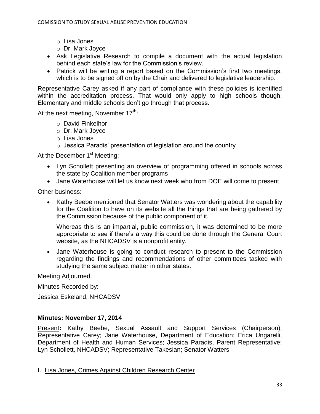- o Lisa Jones
- o Dr. Mark Joyce
- Ask Legislative Research to compile a document with the actual legislation behind each state's law for the Commission's review.
- Patrick will be writing a report based on the Commission's first two meetings, which is to be signed off on by the Chair and delivered to legislative leadership.

Representative Carey asked if any part of compliance with these policies is identified within the accreditation process. That would only apply to high schools though. Elementary and middle schools don't go through that process.

At the next meeting, November  $17^{th}$ :

- o David Finkelhor
- o Dr. Mark Joyce
- o Lisa Jones
- $\circ$  Jessica Paradis' presentation of legislation around the country

At the December 1<sup>st</sup> Meeting:

- Lyn Schollett presenting an overview of programming offered in schools across the state by Coalition member programs
- Jane Waterhouse will let us know next week who from DOE will come to present

Other business:

• Kathy Beebe mentioned that Senator Watters was wondering about the capability for the Coalition to have on its website all the things that are being gathered by the Commission because of the public component of it.

Whereas this is an impartial, public commission, it was determined to be more appropriate to see if there's a way this could be done through the General Court website, as the NHCADSV is a nonprofit entity.

 Jane Waterhouse is going to conduct research to present to the Commission regarding the findings and recommendations of other committees tasked with studying the same subject matter in other states.

Meeting Adjourned.

Minutes Recorded by:

Jessica Eskeland, NHCADSV

## **Minutes: November 17, 2014**

Present**:** Kathy Beebe, Sexual Assault and Support Services (Chairperson); Representative Carey; Jane Waterhouse, Department of Education; Erica Ungarelli, Department of Health and Human Services; Jessica Paradis, Parent Representative; Lyn Schollett, NHCADSV; Representative Takesian; Senator Watters

I. Lisa Jones, Crimes Against Children Research Center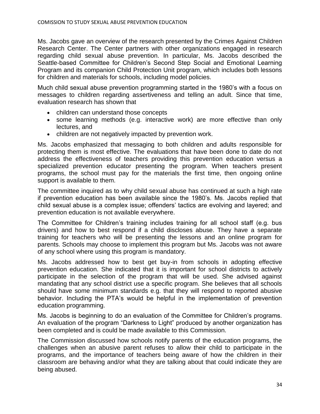Ms. Jacobs gave an overview of the research presented by the Crimes Against Children Research Center. The Center partners with other organizations engaged in research regarding child sexual abuse prevention. In particular, Ms. Jacobs described the Seattle-based Committee for Children's Second Step Social and Emotional Learning Program and its companion Child Protection Unit program, which includes both lessons for children and materials for schools, including model policies.

Much child sexual abuse prevention programming started in the 1980's with a focus on messages to children regarding assertiveness and telling an adult. Since that time, evaluation research has shown that

- children can understand those concepts
- some learning methods (e.g. interactive work) are more effective than only lectures, and
- children are not negatively impacted by prevention work.

Ms. Jacobs emphasized that messaging to both children and adults responsible for protecting them is most effective. The evaluations that have been done to date do not address the effectiveness of teachers providing this prevention education versus a specialized prevention educator presenting the program. When teachers present programs, the school must pay for the materials the first time, then ongoing online support is available to them.

The committee inquired as to why child sexual abuse has continued at such a high rate if prevention education has been available since the 1980's. Ms. Jacobs replied that child sexual abuse is a complex issue; offenders' tactics are evolving and layered; and prevention education is not available everywhere.

The Committee for Children's training includes training for all school staff (e.g. bus drivers) and how to best respond if a child discloses abuse. They have a separate training for teachers who will be presenting the lessons and an online program for parents. Schools may choose to implement this program but Ms. Jacobs was not aware of any school where using this program is mandatory.

Ms. Jacobs addressed how to best get buy-in from schools in adopting effective prevention education. She indicated that it is important for school districts to actively participate in the selection of the program that will be used. She advised against mandating that any school district use a specific program. She believes that all schools should have some minimum standards e.g. that they will respond to reported abusive behavior. Including the PTA's would be helpful in the implementation of prevention education programming.

Ms. Jacobs is beginning to do an evaluation of the Committee for Children's programs. An evaluation of the program "Darkness to Light" produced by another organization has been completed and is could be made available to this Commission.

The Commission discussed how schools notify parents of the education programs, the challenges when an abusive parent refuses to allow their child to participate in the programs, and the importance of teachers being aware of how the children in their classroom are behaving and/or what they are talking about that could indicate they are being abused.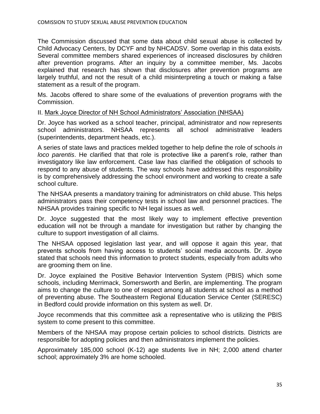The Commission discussed that some data about child sexual abuse is collected by Child Advocacy Centers, by DCYF and by NHCADSV. Some overlap in this data exists. Several committee members shared experiences of increased disclosures by children after prevention programs. After an inquiry by a committee member, Ms. Jacobs explained that research has shown that disclosures after prevention programs are largely truthful, and not the result of a child misinterpreting a touch or making a false statement as a result of the program.

Ms. Jacobs offered to share some of the evaluations of prevention programs with the Commission.

#### II. Mark Joyce Director of NH School Administrators' Association (NHSAA)

Dr. Joyce has worked as a school teacher, principal, administrator and now represents school administrators. NHSAA represents all school administrative leaders (superintendents, department heads, etc.).

A series of state laws and practices melded together to help define the role of schools *in loco parentis*. He clarified that that role is protective like a parent's role, rather than investigatory like law enforcement. Case law has clarified the obligation of schools to respond to any abuse of students. The way schools have addressed this responsibility is by comprehensively addressing the school environment and working to create a safe school culture.

The NHSAA presents a mandatory training for administrators on child abuse. This helps administrators pass their competency tests in school law and personnel practices. The NHSAA provides training specific to NH legal issues as well.

Dr. Joyce suggested that the most likely way to implement effective prevention education will not be through a mandate for investigation but rather by changing the culture to support investigation of all claims.

The NHSAA opposed legislation last year, and will oppose it again this year, that prevents schools from having access to students' social media accounts. Dr. Joyce stated that schools need this information to protect students, especially from adults who are grooming them on line.

Dr. Joyce explained the Positive Behavior Intervention System (PBIS) which some schools, including Merrimack, Somersworth and Berlin, are implementing. The program aims to change the culture to one of respect among all students at school as a method of preventing abuse. The Southeastern Regional Education Service Center (SERESC) in Bedford could provide information on this system as well. Dr.

Joyce recommends that this committee ask a representative who is utilizing the PBIS system to come present to this committee.

Members of the NHSAA may propose certain policies to school districts. Districts are responsible for adopting policies and then administrators implement the policies.

Approximately 185,000 school (K-12) age students live in NH; 2,000 attend charter school; approximately 3% are home schooled.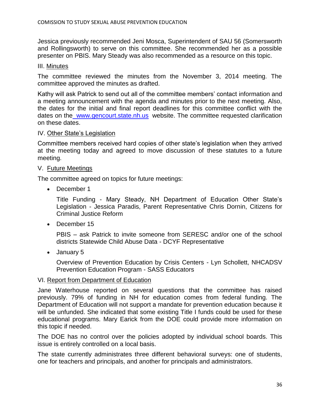Jessica previously recommended Jeni Mosca, Superintendent of SAU 56 (Somersworth and Rollingsworth) to serve on this committee. She recommended her as a possible presenter on PBIS. Mary Steady was also recommended as a resource on this topic.

## III. Minutes

The committee reviewed the minutes from the November 3, 2014 meeting. The committee approved the minutes as drafted.

Kathy will ask Patrick to send out all of the committee members' contact information and a meeting announcement with the agenda and minutes prior to the next meeting. Also, the dates for the initial and final report deadlines for this committee conflict with the dates on the [www.gencourt.state.nh.us](http://www.gencourt.state.nh.us/) website. The committee requested clarification on these dates.

## IV. Other State's Legislation

Committee members received hard copies of other state's legislation when they arrived at the meeting today and agreed to move discussion of these statutes to a future meeting.

## V. Future Meetings

The committee agreed on topics for future meetings:

• December 1

Title Funding - Mary Steady, NH Department of Education Other State's Legislation - Jessica Paradis, Parent Representative Chris Dornin, Citizens for Criminal Justice Reform

• December 15

PBIS – ask Patrick to invite someone from SERESC and/or one of the school districts Statewide Child Abuse Data - DCYF Representative

January 5

Overview of Prevention Education by Crisis Centers - Lyn Schollett, NHCADSV Prevention Education Program - SASS Educators

### VI. Report from Department of Education

Jane Waterhouse reported on several questions that the committee has raised previously. 79% of funding in NH for education comes from federal funding. The Department of Education will not support a mandate for prevention education because it will be unfunded. She indicated that some existing Title I funds could be used for these educational programs. Mary Earick from the DOE could provide more information on this topic if needed.

The DOE has no control over the policies adopted by individual school boards. This issue is entirely controlled on a local basis.

The state currently administrates three different behavioral surveys: one of students, one for teachers and principals, and another for principals and administrators.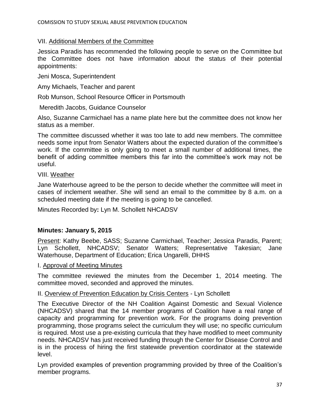## VII. Additional Members of the Committee

Jessica Paradis has recommended the following people to serve on the Committee but the Committee does not have information about the status of their potential appointments:

Jeni Mosca, Superintendent

Amy Michaels, Teacher and parent

Rob Munson, School Resource Officer in Portsmouth

Meredith Jacobs, Guidance Counselor

Also, Suzanne Carmichael has a name plate here but the committee does not know her status as a member.

The committee discussed whether it was too late to add new members. The committee needs some input from Senator Watters about the expected duration of the committee's work. If the committee is only going to meet a small number of additional times, the benefit of adding committee members this far into the committee's work may not be useful.

VIII. Weather

Jane Waterhouse agreed to be the person to decide whether the committee will meet in cases of inclement weather. She will send an email to the committee by 8 a.m. on a scheduled meeting date if the meeting is going to be cancelled.

Minutes Recorded by**:** Lyn M. Schollett NHCADSV

### **Minutes: January 5, 2015**

Present: Kathy Beebe, SASS; Suzanne Carmichael, Teacher; Jessica Paradis, Parent; Lyn Schollett, NHCADSV; Senator Watters; Representative Takesian; Jane Waterhouse, Department of Education; Erica Ungarelli, DHHS

#### I. Approval of Meeting Minutes

The committee reviewed the minutes from the December 1, 2014 meeting. The committee moved, seconded and approved the minutes.

## II. Overview of Prevention Education by Crisis Centers - Lyn Schollett

The Executive Director of the NH Coalition Against Domestic and Sexual Violence (NHCADSV) shared that the 14 member programs of Coalition have a real range of capacity and programming for prevention work. For the programs doing prevention programming, those programs select the curriculum they will use; no specific curriculum is required. Most use a pre-existing curricula that they have modified to meet community needs. NHCADSV has just received funding through the Center for Disease Control and is in the process of hiring the first statewide prevention coordinator at the statewide level.

Lyn provided examples of prevention programming provided by three of the Coalition's member programs.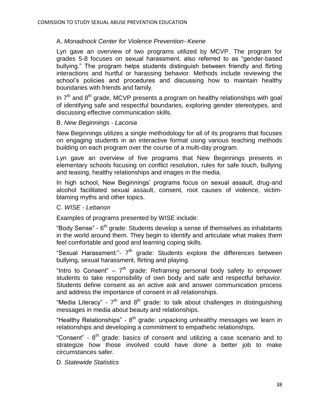## A. *Monadnock Center for Violence Prevention- Keene*

Lyn gave an overview of two programs utilized by MCVP. The program for grades 5-8 focuses on sexual harassment, also referred to as "gender-based bullying." The program helps students distinguish between friendly and flirting interactions and hurtful or harassing behavior. Methods include reviewing the school's policies and procedures and discussing how to maintain healthy boundaries with friends and family.

In  $7<sup>th</sup>$  and  $8<sup>th</sup>$  grade, MCVP presents a program on healthy relationships with goal of identifying safe and respectful boundaries, exploring gender stereotypes, and discussing effective communication skills.

#### B. *New Beginnings - Laconia*

New Beginnings utilizes a single methodology for all of its programs that focuses on engaging students in an interactive format using various teaching methods building on each program over the course of a multi-day program.

Lyn gave an overview of five programs that New Beginnings presents in elementary schools focusing on conflict resolution, rules for safe touch, bullying and teasing, healthy relationships and images in the media.

In high school, New Beginnings' programs focus on sexual assault, drug-and alcohol facilitated sexual assault, consent, root causes of violence, victimblaming myths and other topics.

#### C. *WISE - Lebanon*

Examples of programs presented by WISE include:

"Body Sense" - 6<sup>th</sup> grade: Students develop a sense of themselves as inhabitants in the world around them. They begin to identify and articulate what makes them feel comfortable and good and learning coping skills.

"Sexual Harassment:"- 7<sup>th</sup> grade: Students explore the differences between bullying, sexual harassment, flirting and playing.

"Intro to Consent"  $-7<sup>th</sup>$  grade: Reframing personal body safety to empower students to take responsibility of own body and safe and respectful behavior. Students define consent as an active ask and answer communication process and address the importance of consent in all relationships.

"Media Literacy" -  $7<sup>th</sup>$  and  $8<sup>th</sup>$  grade: to talk about challenges in distinguishing messages in media about beauty and relationships.

"Healthy Relationships" - 8<sup>th</sup> grade: unpacking unhealthy messages we learn in relationships and developing a commitment to empathetic relationships.

"Consent" -  $8<sup>th</sup>$  grade: basics of consent and utilizing a case scenario and to strategize how those involved could have done a better job to make circumstances safer.

D. *Statewide Statistics*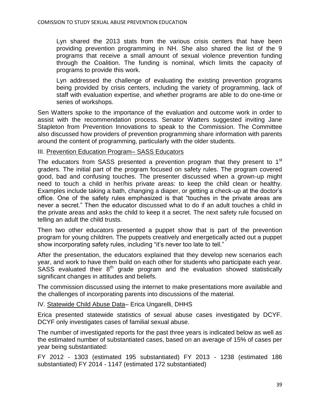Lyn shared the 2013 stats from the various crisis centers that have been providing prevention programming in NH. She also shared the list of the 9 programs that receive a small amount of sexual violence prevention funding through the Coalition. The funding is nominal, which limits the capacity of programs to provide this work.

Lyn addressed the challenge of evaluating the existing prevention programs being provided by crisis centers, including the variety of programming, lack of staff with evaluation expertise, and whether programs are able to do one-time or series of workshops.

Sen Watters spoke to the importance of the evaluation and outcome work in order to assist with the recommendation process. Senator Watters suggested inviting Jane Stapleton from Prevention Innovations to speak to the Commission. The Committee also discussed how providers of prevention programming share information with parents around the content of programming, particularly with the older students.

#### III. Prevention Education Program– SASS Educators

The educators from SASS presented a prevention program that they present to 1<sup>st</sup> graders. The initial part of the program focused on safety rules. The program covered good, bad and confusing touches. The presenter discussed when a grown-up might need to touch a child in her/his private areas: to keep the child clean or healthy. Examples include taking a bath, changing a diaper, or getting a check-up at the doctor's office. One of the safety rules emphasized is that "touches in the private areas are never a secret." Then the educator discussed what to do if an adult touches a child in the private areas and asks the child to keep it a secret. The next safety rule focused on telling an adult the child trusts.

Then two other educators presented a puppet show that is part of the prevention program for young children. The puppets creatively and energetically acted out a puppet show incorporating safety rules, including "it's never too late to tell."

After the presentation, the educators explained that they develop new scenarios each year, and work to have them build on each other for students who participate each year.  $SASS$  evaluated their  $8<sup>th</sup>$  grade program and the evaluation showed statistically significant changes in attitudes and beliefs.

The commission discussed using the internet to make presentations more available and the challenges of incorporating parents into discussions of the material.

IV. Statewide Child Abuse Data– Erica Ungarelli, DHHS

Erica presented statewide statistics of sexual abuse cases investigated by DCYF. DCYF only investigates cases of familial sexual abuse.

The number of investigated reports for the past three years is indicated below as well as the estimated number of substantiated cases, based on an average of 15% of cases per year being substantiated:

FY 2012 - 1303 (estimated 195 substantiated) FY 2013 - 1238 (estimated 186 substantiated) FY 2014 - 1147 (estimated 172 substantiated)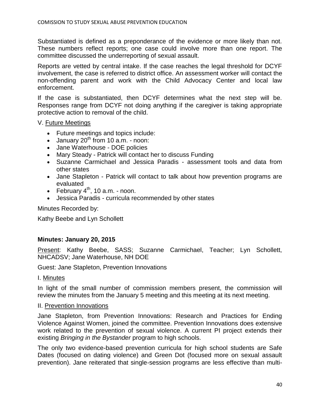Substantiated is defined as a preponderance of the evidence or more likely than not. These numbers reflect reports; one case could involve more than one report. The committee discussed the underreporting of sexual assault.

Reports are vetted by central intake. If the case reaches the legal threshold for DCYF involvement, the case is referred to district office. An assessment worker will contact the non-offending parent and work with the Child Advocacy Center and local law enforcement.

If the case is substantiated, then DCYF determines what the next step will be. Responses range from DCYF not doing anything if the caregiver is taking appropriate protective action to removal of the child.

V. Future Meetings

- Future meetings and topics include:
- $\bullet$  January 20<sup>th</sup> from 10 a.m. noon:
- Jane Waterhouse DOE policies
- Mary Steady Patrick will contact her to discuss Funding
- Suzanne Carmichael and Jessica Paradis assessment tools and data from other states
- Jane Stapleton Patrick will contact to talk about how prevention programs are evaluated
- **•** February  $4<sup>th</sup>$ , 10 a.m. noon.
- Jessica Paradis curricula recommended by other states

Minutes Recorded by:

Kathy Beebe and Lyn Schollett

### **Minutes: January 20, 2015**

Present: Kathy Beebe, SASS; Suzanne Carmichael, Teacher; Lyn Schollett, NHCADSV; Jane Waterhouse, NH DOE

Guest: Jane Stapleton, Prevention Innovations

I. Minutes

In light of the small number of commission members present, the commission will review the minutes from the January 5 meeting and this meeting at its next meeting.

### II. Prevention Innovations

Jane Stapleton, from Prevention Innovations: Research and Practices for Ending Violence Against Women, joined the committee. Prevention Innovations does extensive work related to the prevention of sexual violence. A current PI project extends their existing *Bringing in the Bystander* program to high schools.

The only two evidence-based prevention curricula for high school students are Safe Dates (focused on dating violence) and Green Dot (focused more on sexual assault prevention). Jane reiterated that single-session programs are less effective than multi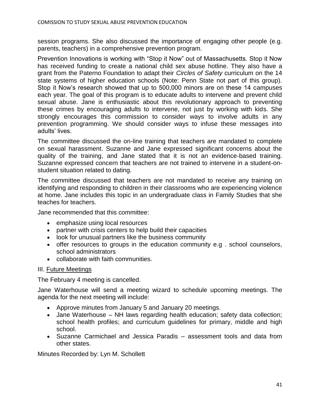session programs. She also discussed the importance of engaging other people (e.g. parents, teachers) in a comprehensive prevention program.

Prevention Innovations is working with "Stop it Now" out of Massachusetts. Stop it Now has received funding to create a national child sex abuse hotline. They also have a grant from the Paterno Foundation to adapt their *Circles of Safety* curriculum on the 14 state systems of higher education schools (Note: Penn State not part of this group). Stop it Now's research showed that up to 500,000 minors are on these 14 campuses each year. The goal of this program is to educate adults to intervene and prevent child sexual abuse. Jane is enthusiastic about this revolutionary approach to preventing these crimes by encouraging adults to intervene, not just by working with kids. She strongly encourages this commission to consider ways to involve adults in any prevention programming. We should consider ways to infuse these messages into adults' lives.

The committee discussed the on-line training that teachers are mandated to complete on sexual harassment. Suzanne and Jane expressed significant concerns about the quality of the training, and Jane stated that it is not an evidence-based training. Suzanne expressed concern that teachers are not trained to intervene in a student-onstudent situation related to dating.

The committee discussed that teachers are not mandated to receive any training on identifying and responding to children in their classrooms who are experiencing violence at home. Jane includes this topic in an undergraduate class in Family Studies that she teaches for teachers.

Jane recommended that this committee:

- emphasize using local resources
- partner with crisis centers to help build their capacities
- look for unusual partners like the business community
- offer resources to groups in the education community e.g . school counselors, school administrators
- collaborate with faith communities.

### III. Future Meetings

The February 4 meeting is cancelled.

Jane Waterhouse will send a meeting wizard to schedule upcoming meetings. The agenda for the next meeting will include:

- Approve minutes from January 5 and January 20 meetings.
- Jane Waterhouse NH laws regarding health education; safety data collection; school health profiles; and curriculum guidelines for primary, middle and high school.
- Suzanne Carmichael and Jessica Paradis assessment tools and data from other states.

Minutes Recorded by: Lyn M. Schollett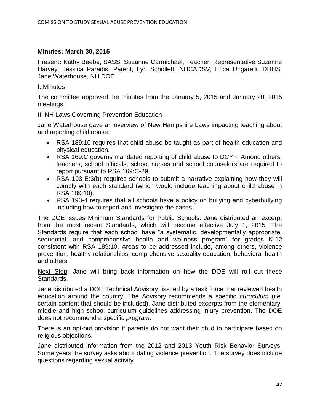#### **Minutes: March 30, 2015**

Present**:** Kathy Beebe, SASS; Suzanne Carmichael, Teacher; Representative Suzanne Harvey; Jessica Paradis, Parent; Lyn Schollett, NHCADSV; Erica Ungarelli, DHHS; Jane Waterhouse, NH DOE

#### I. Minutes

The committee approved the minutes from the January 5, 2015 and January 20, 2015 meetings.

II. NH Laws Governing Prevention Education

Jane Waterhouse gave an overview of New Hampshire Laws impacting teaching about and reporting child abuse:

- RSA 189:10 requires that child abuse be taught as part of health education and physical education.
- RSA 169:C governs mandated reporting of child abuse to DCYF. Among others, teachers, school officials, school nurses and school counselors are required to report pursuant to RSA 169:C-29.
- RSA 193-E:3(b) requires schools to submit a narrative explaining how they will comply with each standard (which would include teaching about child abuse in RSA 189:10).
- RSA 193-4 requires that all schools have a policy on bullying and cyberbullying including how to report and investigate the cases.

The DOE issues Minimum Standards for Public Schools. Jane distributed an excerpt from the most recent Standards, which will become effective July 1, 2015. The Standards require that each school have "a systematic, developmentally appropriate, sequential, and comprehensive health and wellness program" for grades K-12 consistent with RSA 189:10. Areas to be addressed include, among others, violence prevention, healthy relationships, comprehensive sexuality education, behavioral health and others.

Next Step: Jane will bring back information on how the DOE will roll out these Standards.

Jane distributed a DOE Technical Advisory, issued by a task force that reviewed health education around the country. The Advisory recommends a specific *curriculum* (i.e. certain content that should be included). Jane distributed excerpts from the elementary, middle and high school curriculum guidelines addressing injury prevention. The DOE does not recommend a specific *program*.

There is an opt-out provision if parents do not want their child to participate based on religious objections.

Jane distributed information from the 2012 and 2013 Youth Risk Behavior Surveys. Some years the survey asks about dating violence prevention. The survey does include questions regarding sexual activity.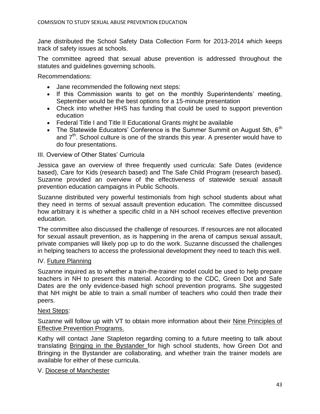Jane distributed the School Safety Data Collection Form for 2013-2014 which keeps track of safety issues at schools.

The committee agreed that sexual abuse prevention is addressed throughout the statutes and guidelines governing schools.

Recommendations:

- Jane recommended the following next steps:
- If this Commission wants to get on the monthly Superintendents' meeting, September would be the best options for a 15-minute presentation
- Check into whether HHS has funding that could be used to support prevention education
- Federal Title I and Title II Educational Grants might be available
- The Statewide Educators' Conference is the Summer Summit on August 5th,  $6<sup>th</sup>$ and  $7<sup>th</sup>$ . School culture is one of the strands this year. A presenter would have to do four presentations.

#### III. Overview of Other States' Curricula

Jessica gave an overview of three frequently used curricula: Safe Dates (evidence based), Care for Kids (research based) and The Safe Child Program (research based). Suzanne provided an overview of the effectiveness of statewide sexual assault prevention education campaigns in Public Schools.

Suzanne distributed very powerful testimonials from high school students about what they need in terms of sexual assault prevention education. The committee discussed how arbitrary it is whether a specific child in a NH school receives effective prevention education.

The committee also discussed the challenge of resources. If resources are not allocated for sexual assault prevention, as is happening in the arena of campus sexual assault, private companies will likely pop up to do the work. Suzanne discussed the challenges in helping teachers to access the professional development they need to teach this well.

#### IV. Future Planning

Suzanne inquired as to whether a train-the-trainer model could be used to help prepare teachers in NH to present this material. According to the CDC, Green Dot and Safe Dates are the only evidence-based high school prevention programs. She suggested that NH might be able to train a small number of teachers who could then trade their peers.

#### Next Steps:

Suzanne will follow up with VT to obtain more information about their Nine Principles of Effective Prevention Programs.

Kathy will contact Jane Stapleton regarding coming to a future meeting to talk about translating Bringing in the Bystander for high school students, how Green Dot and Bringing in the Bystander are collaborating, and whether train the trainer models are available for either of these curricula.

#### V. Diocese of Manchester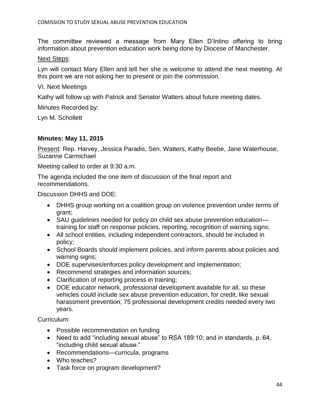The committee reviewed a message from Mary Ellen D'Intino offering to bring information about prevention education work being done by Diocese of Manchester.

#### Next Steps:

Lyn will contact Mary Ellen and tell her she is welcome to attend the next meeting. At this point we are not asking her to present or join the commission.

VI. Next Meetings

Kathy will follow up with Patrick and Senator Watters about future meeting dates.

Minutes Recorded by:

Lyn M. Schollett

#### **Minutes: May 11, 2015**

Present: Rep. Harvey, Jessica Paradis, Sen. Watters, Kathy Beebe, Jane Waterhouse, Suzanne Carmichael

Meeting called to order at 9:30 a.m.

The agenda included the one item of discussion of the final report and recommendations.

Discussion DHHS and DOE:

- DHHS group working on a coalition group on violence prevention under terms of grant;
- SAU guidelines needed for policy on child sex abuse prevention education training for staff on response policies, reporting, recognition of warning signs;
- All school entities, including independent contractors, should be included in policy;
- School Boards should implement policies, and inform parents about policies and warning signs;
- DOE supervises/enforces policy development and implementation;
- Recommend strategies and information sources;
- Clarification of reporting process in training;
- DOE educator network, professional development available for all, so these vehicles could include sex abuse prevention education, for credit, like sexual harassment prevention; 75 professional development credits needed every two years.

Curriculum:

- Possible recommendation on funding
- Need to add "including sexual abuse" to RSA 189:10; and in standards, p. 64, "including child sexual abuse."
- Recommendations—curricula, programs
- Who teaches?
- Task force on program development?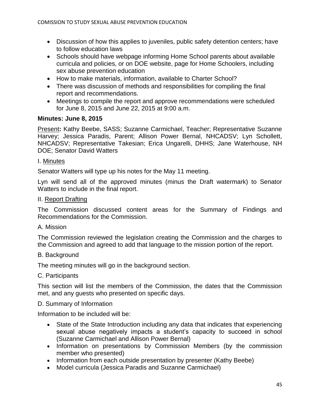- Discussion of how this applies to juveniles, public safety detention centers; have to follow education laws
- Schools should have webpage informing Home School parents about available curricula and policies, or on DOE website, page for Home Schoolers, including sex abuse prevention education
- How to make materials, information, available to Charter School?
- There was discussion of methods and responsibilities for compiling the final report and recommendations.
- Meetings to compile the report and approve recommendations were scheduled for June 8, 2015 and June 22, 2015 at 9:00 a.m.

### **Minutes: June 8, 2015**

Present**:** Kathy Beebe, SASS; Suzanne Carmichael, Teacher; Representative Suzanne Harvey; Jessica Paradis, Parent; Allison Power Bernal, NHCADSV; Lyn Schollett, NHCADSV; Representative Takesian; Erica Ungarelli, DHHS; Jane Waterhouse, NH DOE; Senator David Watters

### I. Minutes

Senator Watters will type up his notes for the May 11 meeting.

Lyn will send all of the approved minutes (minus the Draft watermark) to Senator Watters to include in the final report.

### II. Report Drafting

The Commission discussed content areas for the Summary of Findings and Recommendations for the Commission.

### A. Mission

The Commission reviewed the legislation creating the Commission and the charges to the Commission and agreed to add that language to the mission portion of the report.

### B. Background

The meeting minutes will go in the background section.

### C. Participants

This section will list the members of the Commission, the dates that the Commission met, and any guests who presented on specific days.

### D. Summary of Information

Information to be included will be:

- State of the State Introduction including any data that indicates that experiencing sexual abuse negatively impacts a student's capacity to succeed in school (Suzanne Carmichael and Allison Power Bernal)
- Information on presentations by Commission Members (by the commission member who presented)
- Information from each outside presentation by presenter (Kathy Beebe)
- Model curricula (Jessica Paradis and Suzanne Carmichael)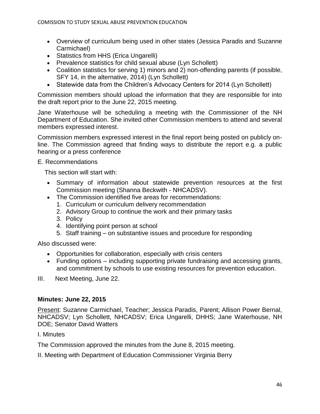- Overview of curriculum being used in other states (Jessica Paradis and Suzanne Carmichael)
- Statistics from HHS (Erica Ungarelli)
- Prevalence statistics for child sexual abuse (Lyn Schollett)
- Coalition statistics for serving 1) minors and 2) non-offending parents (if possible, SFY 14, in the alternative, 2014) (Lyn Schollett)
- Statewide data from the Children's Advocacy Centers for 2014 (Lyn Schollett)

Commission members should upload the information that they are responsible for into the draft report prior to the June 22, 2015 meeting.

Jane Waterhouse will be scheduling a meeting with the Commissioner of the NH Department of Education. She invited other Commission members to attend and several members expressed interest.

Commission members expressed interest in the final report being posted on publicly online. The Commission agreed that finding ways to distribute the report e.g. a public hearing or a press conference

#### E. Recommendations

This section will start with:

- Summary of information about statewide prevention resources at the first Commission meeting (Shanna Beckwith - NHCADSV).
- The Commission identified five areas for recommendations:
	- 1. Curriculum or curriculum delivery recommendation
	- 2. Advisory Group to continue the work and their primary tasks
	- 3. Policy
	- 4. Identifying point person at school
	- 5. Staff training on substantive issues and procedure for responding

Also discussed were:

- Opportunities for collaboration, especially with crisis centers
- Funding options including supporting private fundraising and accessing grants, and commitment by schools to use existing resources for prevention education.
- III.Next Meeting, June 22.

### **Minutes: June 22, 2015**

Present: Suzanne Carmichael, Teacher; Jessica Paradis, Parent; Allison Power Bernal, NHCADSV; Lyn Schollett, NHCADSV; Erica Ungarelli, DHHS; Jane Waterhouse, NH DOE; Senator David Watters

### I. Minutes

The Commission approved the minutes from the June 8, 2015 meeting.

II. Meeting with Department of Education Commissioner Virginia Berry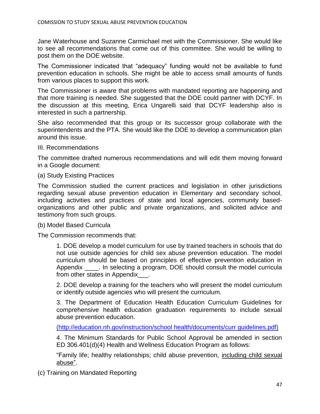Jane Waterhouse and Suzanne Carmichael met with the Commissioner. She would like to see all recommendations that come out of this committee. She would be willing to post them on the DOE website.

The Commissioner indicated that "adequacy" funding would not be available to fund prevention education in schools. She might be able to access small amounts of funds from various places to support this work.

The Commissioner is aware that problems with mandated reporting are happening and that more training is needed. She suggested that the DOE could partner with DCYF. In the discussion at this meeting, Erica Ungarelli said that DCYF leadership also is interested in such a partnership.

She also recommended that this group or its successor group collaborate with the superintendents and the PTA. She would like the DOE to develop a communication plan around this issue.

III. Recommendations

The committee drafted numerous recommendations and will edit them moving forward in a Google document:

(a) Study Existing Practices

The Commission studied the current practices and legislation in other jurisdictions regarding sexual abuse prevention education in Elementary and secondary school, including activities and practices of state and local agencies, community basedorganizations and other public and private organizations, and solicited advice and testimony from such groups.

(b) Model Based Curricula

The Commission recommends that:

1. DOE develop a model curriculum for use by trained teachers in schools that do not use outside agencies for child sex abuse prevention education. The model curriculum should be based on principles of effective prevention education in Appendix \_\_\_\_. In selecting a program, DOE should consult the model curricula from other states in Appendix .

2. DOE develop a training for the teachers who will present the model curriculum or identify outside agencies who will present the curriculum.

3. The Department of Education Health Education Curriculum Guidelines for comprehensive health education graduation requirements to include sexual abuse prevention education.

[\(http://education.nh.gov/instruction/school](http://education.nh.gov/instruction/school) health/documents/curr guidelines.pdf)

4. The Minimum Standards for Public School Approval be amended in section ED 306.401(d)(4) Health and Wellness Education Program as follows:

"Family life; healthy relationships; child abuse prevention, including child sexual abuse".

(c) Training on Mandated Reporting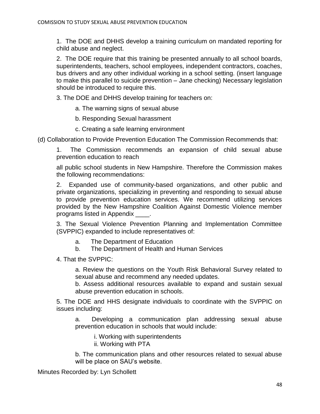1. The DOE and DHHS develop a training curriculum on mandated reporting for child abuse and neglect.

2. The DOE require that this training be presented annually to all school boards, superintendents, teachers, school employees, independent contractors, coaches, bus drivers and any other individual working in a school setting. (insert language to make this parallel to suicide prevention – Jane checking) Necessary legislation should be introduced to require this.

3. The DOE and DHHS develop training for teachers on:

a. The warning signs of sexual abuse

b. Responding Sexual harassment

c. Creating a safe learning environment

(d) Collaboration to Provide Prevention Education The Commission Recommends that:

1. The Commission recommends an expansion of child sexual abuse prevention education to reach

all public school students in New Hampshire. Therefore the Commission makes the following recommendations:

2. Expanded use of community-based organizations, and other public and private organizations, specializing in preventing and responding to sexual abuse to provide prevention education services. We recommend utilizing services provided by the New Hampshire Coalition Against Domestic Violence member programs listed in Appendix \_\_\_\_.

3. The Sexual Violence Prevention Planning and Implementation Committee (SVPPIC) expanded to include representatives of:

- a. The Department of Education
- b. The Department of Health and Human Services

4. That the SVPPIC:

a. Review the questions on the Youth Risk Behavioral Survey related to sexual abuse and recommend any needed updates.

b. Assess additional resources available to expand and sustain sexual abuse prevention education in schools.

5. The DOE and HHS designate individuals to coordinate with the SVPPIC on issues including:

a. Developing a communication plan addressing sexual abuse prevention education in schools that would include:

i. Working with superintendents

ii. Working with PTA

b. The communication plans and other resources related to sexual abuse will be place on SAU's website.

Minutes Recorded by: Lyn Schollett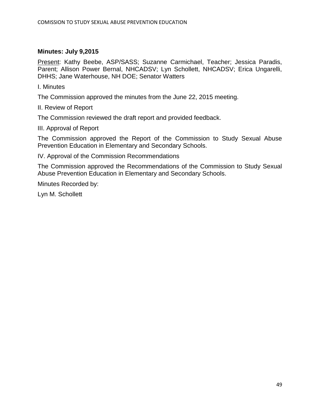#### **Minutes: July 9,2015**

Present: Kathy Beebe, ASP/SASS; Suzanne Carmichael, Teacher; Jessica Paradis, Parent; Allison Power Bernal, NHCADSV; Lyn Schollett, NHCADSV; Erica Ungarelli, DHHS; Jane Waterhouse, NH DOE; Senator Watters

I. Minutes

The Commission approved the minutes from the June 22, 2015 meeting.

II. Review of Report

The Commission reviewed the draft report and provided feedback.

III. Approval of Report

The Commission approved the Report of the Commission to Study Sexual Abuse Prevention Education in Elementary and Secondary Schools.

IV. Approval of the Commission Recommendations

The Commission approved the Recommendations of the Commission to Study Sexual Abuse Prevention Education in Elementary and Secondary Schools.

Minutes Recorded by:

Lyn M. Schollett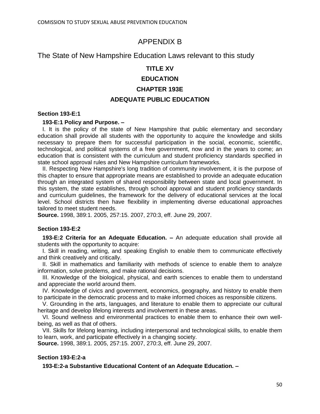## APPENDIX B

## The State of New Hampshire Education Laws relevant to this study

#### **TITLE XV**

### **EDUCATION**

### **CHAPTER 193E**

#### **ADEQUATE PUBLIC EDUCATION**

#### **Section 193-E:1**

#### **193-E:1 Policy and Purpose. –**

 I. It is the policy of the state of New Hampshire that public elementary and secondary education shall provide all students with the opportunity to acquire the knowledge and skills necessary to prepare them for successful participation in the social, economic, scientific, technological, and political systems of a free government, now and in the years to come; an education that is consistent with the curriculum and student proficiency standards specified in state school approval rules and New Hampshire curriculum frameworks.

 II. Respecting New Hampshire's long tradition of community involvement, it is the purpose of this chapter to ensure that appropriate means are established to provide an adequate education through an integrated system of shared responsibility between state and local government. In this system, the state establishes, through school approval and student proficiency standards and curriculum guidelines, the framework for the delivery of educational services at the local level. School districts then have flexibility in implementing diverse educational approaches tailored to meet student needs.

**Source.** 1998, 389:1. 2005, 257:15. 2007, 270:3, eff. June 29, 2007.

#### **Section 193-E:2**

 **193-E:2 Criteria for an Adequate Education. –** An adequate education shall provide all students with the opportunity to acquire:

 I. Skill in reading, writing, and speaking English to enable them to communicate effectively and think creatively and critically.

 II. Skill in mathematics and familiarity with methods of science to enable them to analyze information, solve problems, and make rational decisions.

 III. Knowledge of the biological, physical, and earth sciences to enable them to understand and appreciate the world around them.

 IV. Knowledge of civics and government, economics, geography, and history to enable them to participate in the democratic process and to make informed choices as responsible citizens.

 V. Grounding in the arts, languages, and literature to enable them to appreciate our cultural heritage and develop lifelong interests and involvement in these areas.

 VI. Sound wellness and environmental practices to enable them to enhance their own wellbeing, as well as that of others.

 VII. Skills for lifelong learning, including interpersonal and technological skills, to enable them to learn, work, and participate effectively in a changing society.

**Source.** 1998, 389:1. 2005, 257:15. 2007, 270:3, eff. June 29, 2007.

#### **Section 193-E:2-a**

**193-E:2-a Substantive Educational Content of an Adequate Education. –**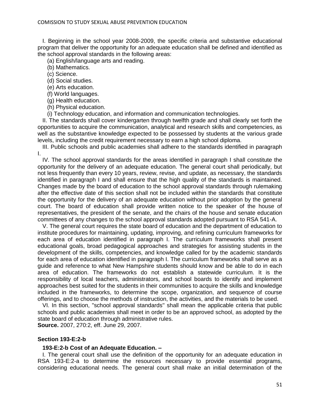I. Beginning in the school year 2008-2009, the specific criteria and substantive educational program that deliver the opportunity for an adequate education shall be defined and identified as the school approval standards in the following areas:

(a) English/language arts and reading.

(b) Mathematics.

(c) Science.

(d) Social studies.

(e) Arts education.

(f) World languages.

(g) Health education.

(h) Physical education.

(i) Technology education, and information and communication technologies.

 II. The standards shall cover kindergarten through twelfth grade and shall clearly set forth the opportunities to acquire the communication, analytical and research skills and competencies, as well as the substantive knowledge expected to be possessed by students at the various grade levels, including the credit requirement necessary to earn a high school diploma.

 III. Public schools and public academies shall adhere to the standards identified in paragraph I.

 IV. The school approval standards for the areas identified in paragraph I shall constitute the opportunity for the delivery of an adequate education. The general court shall periodically, but not less frequently than every 10 years, review, revise, and update, as necessary, the standards identified in paragraph I and shall ensure that the high quality of the standards is maintained. Changes made by the board of education to the school approval standards through rulemaking after the effective date of this section shall not be included within the standards that constitute the opportunity for the delivery of an adequate education without prior adoption by the general court. The board of education shall provide written notice to the speaker of the house of representatives, the president of the senate, and the chairs of the house and senate education committees of any changes to the school approval standards adopted pursuant to RSA 541-A.

 V. The general court requires the state board of education and the department of education to institute procedures for maintaining, updating, improving, and refining curriculum frameworks for each area of education identified in paragraph I. The curriculum frameworks shall present educational goals, broad pedagogical approaches and strategies for assisting students in the development of the skills, competencies, and knowledge called for by the academic standards for each area of education identified in paragraph I. The curriculum frameworks shall serve as a guide and reference to what New Hampshire students should know and be able to do in each area of education. The frameworks do not establish a statewide curriculum. It is the responsibility of local teachers, administrators, and school boards to identify and implement approaches best suited for the students in their communities to acquire the skills and knowledge included in the frameworks, to determine the scope, organization, and sequence of course offerings, and to choose the methods of instruction, the activities, and the materials to be used.

 VI. In this section, "school approval standards'' shall mean the applicable criteria that public schools and public academies shall meet in order to be an approved school, as adopted by the state board of education through administrative rules.

**Source.** 2007, 270:2, eff. June 29, 2007.

#### **Section 193-E:2-b**

#### **193-E:2-b Cost of an Adequate Education. –**

 I. The general court shall use the definition of the opportunity for an adequate education in RSA 193-E:2-a to determine the resources necessary to provide essential programs, considering educational needs. The general court shall make an initial determination of the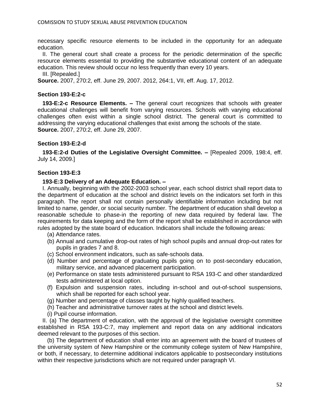necessary specific resource elements to be included in the opportunity for an adequate education.

 II. The general court shall create a process for the periodic determination of the specific resource elements essential to providing the substantive educational content of an adequate education. This review should occur no less frequently than every 10 years.

III. [Repealed.]

**Source.** 2007, 270:2, eff. June 29, 2007. 2012, 264:1, VII, eff. Aug. 17, 2012.

#### **Section 193-E:2-c**

 **193-E:2-c Resource Elements. –** The general court recognizes that schools with greater educational challenges will benefit from varying resources. Schools with varying educational challenges often exist within a single school district. The general court is committed to addressing the varying educational challenges that exist among the schools of the state. **Source.** 2007, 270:2, eff. June 29, 2007.

#### **Section 193-E:2-d**

 **193-E:2-d Duties of the Legislative Oversight Committee. –** [Repealed 2009, 198:4, eff. July 14, 2009.]

#### **Section 193-E:3**

#### **193-E:3 Delivery of an Adequate Education. –**

 I. Annually, beginning with the 2002-2003 school year, each school district shall report data to the department of education at the school and district levels on the indicators set forth in this paragraph. The report shall not contain personally identifiable information including but not limited to name, gender, or social security number. The department of education shall develop a reasonable schedule to phase-in the reporting of new data required by federal law. The requirements for data keeping and the form of the report shall be established in accordance with rules adopted by the state board of education. Indicators shall include the following areas:

- (a) Attendance rates.
- (b) Annual and cumulative drop-out rates of high school pupils and annual drop-out rates for pupils in grades 7 and 8.
- (c) School environment indicators, such as safe-schools data.
- (d) Number and percentage of graduating pupils going on to post-secondary education, military service, and advanced placement participation.
- (e) Performance on state tests administered pursuant to RSA 193-C and other standardized tests administered at local option.
- (f) Expulsion and suspension rates, including in-school and out-of-school suspensions, which shall be reported for each school year.
- (g) Number and percentage of classes taught by highly qualified teachers.
- (h) Teacher and administrative turnover rates at the school and district levels.
- (i) Pupil course information.

 II. (a) The department of education, with the approval of the legislative oversight committee established in RSA 193-C:7, may implement and report data on any additional indicators deemed relevant to the purposes of this section.

 (b) The department of education shall enter into an agreement with the board of trustees of the university system of New Hampshire or the community college system of New Hampshire, or both, if necessary, to determine additional indicators applicable to postsecondary institutions within their respective jurisdictions which are not required under paragraph VI.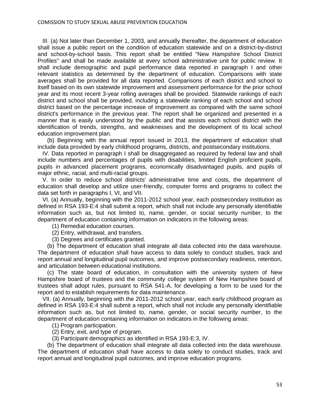III. (a) Not later than December 1, 2003, and annually thereafter, the department of education shall issue a public report on the condition of education statewide and on a district-by-district and school-by-school basis. This report shall be entitled "New Hampshire School District Profiles'' and shall be made available at every school administrative unit for public review. It shall include demographic and pupil performance data reported in paragraph I and other relevant statistics as determined by the department of education. Comparisons with state averages shall be provided for all data reported. Comparisons of each district and school to itself based on its own statewide improvement and assessment performance for the prior school year and its most recent 3-year rolling averages shall be provided. Statewide rankings of each district and school shall be provided, including a statewide ranking of each school and school district based on the percentage increase of improvement as compared with the same school district's performance in the previous year. The report shall be organized and presented in a manner that is easily understood by the public and that assists each school district with the identification of trends, strengths, and weaknesses and the development of its local school education improvement plan.

 (b) Beginning with the annual report issued in 2013, the department of education shall include data provided by early childhood programs, districts, and postsecondary institutions.

 IV. Data reported in paragraph I shall be disaggregated as required by federal law and shall include numbers and percentages of pupils with disabilities, limited English proficient pupils, pupils in advanced placement programs, economically disadvantaged pupils, and pupils of major ethnic, racial, and multi-racial groups.

 V. In order to reduce school districts' administrative time and costs, the department of education shall develop and utilize user-friendly, computer forms and programs to collect the data set forth in paragraphs I, VI, and VII.

 VI. (a) Annually, beginning with the 2011-2012 school year, each postsecondary institution as defined in RSA 193-E:4 shall submit a report, which shall not include any personally identifiable information such as, but not limited to, name, gender, or social security number, to the department of education containing information on indicators in the following areas:

(1) Remedial education courses.

- (2) Entry, withdrawal, and transfers.
- (3) Degrees and certificates granted.

 (b) The department of education shall integrate all data collected into the data warehouse. The department of education shall have access to data solely to conduct studies, track and report annual and longitudinal pupil outcomes, and improve postsecondary readiness, retention, and articulation between educational institutions.

 (c) The state board of education, in consultation with the university system of New Hampshire board of trustees and the community college system of New Hampshire board of trustees shall adopt rules, pursuant to RSA 541-A, for developing a form to be used for the report and to establish requirements for data maintenance.

 VII. (a) Annually, beginning with the 2011-2012 school year, each early childhood program as defined in RSA 193-E:4 shall submit a report, which shall not include any personally identifiable information such as, but not limited to, name, gender, or social security number, to the department of education containing information on indicators in the following areas:

(1) Program participation.

(2) Entry, exit, and type of program.

(3) Participant demographics as identified in RSA 193-E:3, IV.

 (b) The department of education shall integrate all data collected into the data warehouse. The department of education shall have access to data solely to conduct studies, track and report annual and longitudinal pupil outcomes, and improve education programs.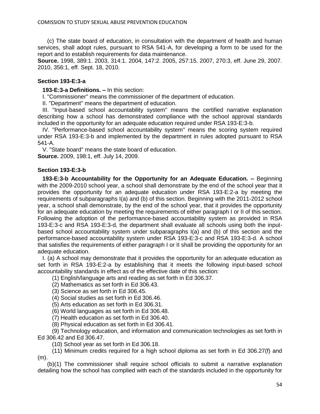(c) The state board of education, in consultation with the department of health and human services, shall adopt rules, pursuant to RSA 541-A, for developing a form to be used for the report and to establish requirements for data maintenance.

**Source.** 1998, 389:1. 2003, 314:1. 2004, 147:2. 2005, 257:15. 2007, 270:3, eff. June 29, 2007. 2010, 356:1, eff. Sept. 18, 2010.

#### **Section 193-E:3-a**

**193-E:3-a Definitions. –** In this section:

I. "Commissioner'' means the commissioner of the department of education.

II. "Department'' means the department of education.

 III. "Input-based school accountability system'' means the certified narrative explanation describing how a school has demonstrated compliance with the school approval standards included in the opportunity for an adequate education required under RSA 193-E:3-b.

 IV. "Performance-based school accountability system'' means the scoring system required under RSA 193-E:3-b and implemented by the department in rules adopted pursuant to RSA 541-A.

 V. "State board'' means the state board of education. **Source.** 2009, 198:1, eff. July 14, 2009.

#### **Section 193-E:3-b**

 **193-E:3-b Accountability for the Opportunity for an Adequate Education. –** Beginning with the 2009-2010 school year, a school shall demonstrate by the end of the school year that it provides the opportunity for an adequate education under RSA 193-E:2-a by meeting the requirements of subparagraphs I(a) and (b) of this section. Beginning with the 2011-2012 school year, a school shall demonstrate, by the end of the school year, that it provides the opportunity for an adequate education by meeting the requirements of either paragraph I or II of this section. Following the adoption of the performance-based accountability system as provided in RSA 193-E:3-c and RSA 193-E:3-d, the department shall evaluate all schools using both the inputbased school accountability system under subparagraphs I(a) and (b) of this section and the performance-based accountability system under RSA 193-E:3-c and RSA 193-E:3-d. A school that satisfies the requirements of either paragraph I or II shall be providing the opportunity for an adequate education.

 I. (a) A school may demonstrate that it provides the opportunity for an adequate education as set forth in RSA 193-E:2-a by establishing that it meets the following input-based school accountability standards in effect as of the effective date of this section:

(1) English/language arts and reading as set forth in Ed 306.37.

- (2) Mathematics as set forth in Ed 306.43.
- (3) Science as set forth in Ed 306.45.
- (4) Social studies as set forth in Ed 306.46.
- (5) Arts education as set forth in Ed 306.31.
- (6) World languages as set forth in Ed 306.48.
- (7) Health education as set forth in Ed 306.40.
- (8) Physical education as set forth in Ed 306.41.

 (9) Technology education, and information and communication technologies as set forth in Ed 306.42 and Ed 306.47.

(10) School year as set forth in Ed 306.18.

 (11) Minimum credits required for a high school diploma as set forth in Ed 306.27(f) and  $(m)$ .

 (b)(1) The commissioner shall require school officials to submit a narrative explanation detailing how the school has complied with each of the standards included in the opportunity for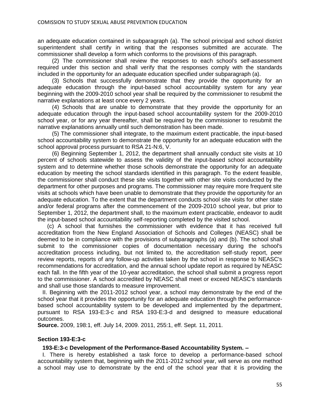an adequate education contained in subparagraph (a). The school principal and school district superintendent shall certify in writing that the responses submitted are accurate. The commissioner shall develop a form which conforms to the provisions of this paragraph.

 (2) The commissioner shall review the responses to each school's self-assessment required under this section and shall verify that the responses comply with the standards included in the opportunity for an adequate education specified under subparagraph (a).

 (3) Schools that successfully demonstrate that they provide the opportunity for an adequate education through the input-based school accountability system for any year beginning with the 2009-2010 school year shall be required by the commissioner to resubmit the narrative explanations at least once every 2 years.

 (4) Schools that are unable to demonstrate that they provide the opportunity for an adequate education through the input-based school accountability system for the 2009-2010 school year, or for any year thereafter, shall be required by the commissioner to resubmit the narrative explanations annually until such demonstration has been made.

 (5) The commissioner shall integrate, to the maximum extent practicable, the input-based school accountability system to demonstrate the opportunity for an adequate education with the school approval process pursuant to RSA 21-N:6, V.

 (6) Beginning September 1, 2012, the department shall annually conduct site visits at 10 percent of schools statewide to assess the validity of the input-based school accountability system and to determine whether those schools demonstrate the opportunity for an adequate education by meeting the school standards identified in this paragraph. To the extent feasible, the commissioner shall conduct these site visits together with other site visits conducted by the department for other purposes and programs. The commissioner may require more frequent site visits at schools which have been unable to demonstrate that they provide the opportunity for an adequate education. To the extent that the department conducts school site visits for other state and/or federal programs after the commencement of the 2009-2010 school year, but prior to September 1, 2012, the department shall, to the maximum extent practicable, endeavor to audit the input-based school accountability self-reporting completed by the visited school.

 (c) A school that furnishes the commissioner with evidence that it has received full accreditation from the New England Association of Schools and Colleges (NEASC) shall be deemed to be in compliance with the provisions of subparagraphs (a) and (b). The school shall submit to the commissioner copies of documentation necessary during the school's accreditation process including, but not limited to, the accreditation self-study report, peer review reports, reports of any follow-up activities taken by the school in response to NEASC's recommendations for accreditation, and the annual school update report as required by NEASC each fall. In the fifth year of the 10-year accreditation, the school shall submit a progress report to the commissioner. A school accredited by NEASC shall meet or exceed NEASC's standards and shall use those standards to measure improvement.

 II. Beginning with the 2011-2012 school year, a school may demonstrate by the end of the school year that it provides the opportunity for an adequate education through the performancebased school accountability system to be developed and implemented by the department, pursuant to RSA 193-E:3-c and RSA 193-E:3-d and designed to measure educational outcomes.

**Source.** 2009, 198:1, eff. July 14, 2009. 2011, 255:1, eff. Sept. 11, 2011.

#### **Section 193-E:3-c**

#### **193-E:3-c Development of the Performance-Based Accountability System. –**

 I. There is hereby established a task force to develop a performance-based school accountability system that, beginning with the 2011-2012 school year, will serve as one method a school may use to demonstrate by the end of the school year that it is providing the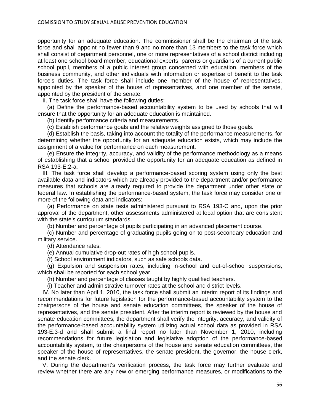opportunity for an adequate education. The commissioner shall be the chairman of the task force and shall appoint no fewer than 9 and no more than 13 members to the task force which shall consist of department personnel, one or more representatives of a school district including at least one school board member, educational experts, parents or guardians of a current public school pupil, members of a public interest group concerned with education, members of the business community, and other individuals with information or expertise of benefit to the task force's duties. The task force shall include one member of the house of representatives, appointed by the speaker of the house of representatives, and one member of the senate, appointed by the president of the senate.

II. The task force shall have the following duties:

 (a) Define the performance-based accountability system to be used by schools that will ensure that the opportunity for an adequate education is maintained.

(b) Identify performance criteria and measurements.

(c) Establish performance goals and the relative weights assigned to those goals.

 (d) Establish the basis, taking into account the totality of the performance measurements, for determining whether the opportunity for an adequate education exists, which may include the assignment of a value for performance on each measurement.

 (e) Ensure the integrity, accuracy, and validity of the performance methodology as a means of establishing that a school provided the opportunity for an adequate education as defined in RSA 193-E:2-a.

 III. The task force shall develop a performance-based scoring system using only the best available data and indicators which are already provided to the department and/or performance measures that schools are already required to provide the department under other state or federal law. In establishing the performance-based system, the task force may consider one or more of the following data and indicators:

 (a) Performance on state tests administered pursuant to RSA 193-C and, upon the prior approval of the department, other assessments administered at local option that are consistent with the state's curriculum standards.

(b) Number and percentage of pupils participating in an advanced placement course.

 (c) Number and percentage of graduating pupils going on to post-secondary education and military service.

(d) Attendance rates.

(e) Annual cumulative drop-out rates of high school pupils.

(f) School environment indicators, such as safe schools data.

 (g) Expulsion and suspension rates, including in-school and out-of-school suspensions, which shall be reported for each school year.

(h) Number and percentage of classes taught by highly qualified teachers.

(i) Teacher and administrative turnover rates at the school and district levels.

 IV. No later than April 1, 2010, the task force shall submit an interim report of its findings and recommendations for future legislation for the performance-based accountability system to the chairpersons of the house and senate education committees, the speaker of the house of representatives, and the senate president. After the interim report is reviewed by the house and senate education committees, the department shall verify the integrity, accuracy, and validity of the performance-based accountability system utilizing actual school data as provided in RSA 193-E:3-d and shall submit a final report no later than November 1, 2010, including recommendations for future legislation and legislative adoption of the performance-based accountability system, to the chairpersons of the house and senate education committees, the speaker of the house of representatives, the senate president, the governor, the house clerk, and the senate clerk.

 V. During the department's verification process, the task force may further evaluate and review whether there are any new or emerging performance measures, or modifications to the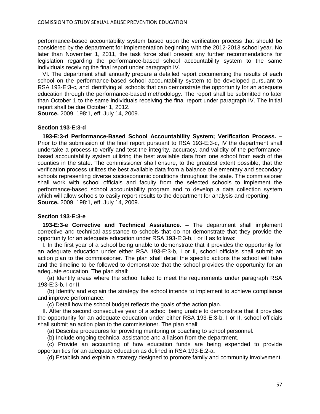performance-based accountability system based upon the verification process that should be considered by the department for implementation beginning with the 2012-2013 school year. No later than November 1, 2011, the task force shall present any further recommendations for legislation regarding the performance-based school accountability system to the same individuals receiving the final report under paragraph IV.

 VI. The department shall annually prepare a detailed report documenting the results of each school on the performance-based school accountability system to be developed pursuant to RSA 193-E:3-c, and identifying all schools that can demonstrate the opportunity for an adequate education through the performance-based methodology. The report shall be submitted no later than October 1 to the same individuals receiving the final report under paragraph IV. The initial report shall be due October 1, 2012.

**Source.** 2009, 198:1, eff. July 14, 2009.

#### **Section 193-E:3-d**

 **193-E:3-d Performance-Based School Accountability System; Verification Process. –** Prior to the submission of the final report pursuant to RSA 193-E:3-c, IV the department shall undertake a process to verify and test the integrity, accuracy, and validity of the performancebased accountability system utilizing the best available data from one school from each of the counties in the state. The commissioner shall ensure, to the greatest extent possible, that the verification process utilizes the best available data from a balance of elementary and secondary schools representing diverse socioeconomic conditions throughout the state. The commissioner shall work with school officials and faculty from the selected schools to implement the performance-based school accountability program and to develop a data collection system which will allow schools to easily report results to the department for analysis and reporting. **Source.** 2009, 198:1, eff. July 14, 2009.

#### **Section 193-E:3-e**

 **193-E:3-e Corrective and Technical Assistance. –** The department shall implement corrective and technical assistance to schools that do not demonstrate that they provide the opportunity for an adequate education under RSA 193-E:3-b, I or II as follows:

 I. In the first year of a school being unable to demonstrate that it provides the opportunity for an adequate education under either RSA 193-E:3-b, I or II, school officials shall submit an action plan to the commissioner. The plan shall detail the specific actions the school will take and the timeline to be followed to demonstrate that the school provides the opportunity for an adequate education. The plan shall:

 (a) Identify areas where the school failed to meet the requirements under paragraph RSA 193-E:3-b, I or II.

 (b) Identify and explain the strategy the school intends to implement to achieve compliance and improve performance.

(c) Detail how the school budget reflects the goals of the action plan.

 II. After the second consecutive year of a school being unable to demonstrate that it provides the opportunity for an adequate education under either RSA 193-E:3-b, I or II, school officials shall submit an action plan to the commissioner. The plan shall:

(a) Describe procedures for providing mentoring or coaching to school personnel.

(b) Include ongoing technical assistance and a liaison from the department.

 (c) Provide an accounting of how education funds are being expended to provide opportunities for an adequate education as defined in RSA 193-E:2-a.

(d) Establish and explain a strategy designed to promote family and community involvement.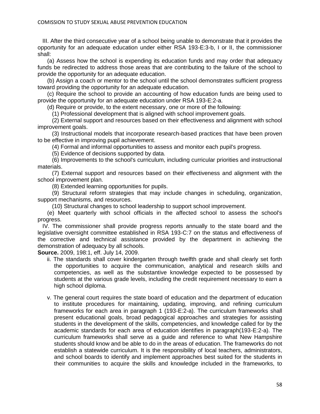III. After the third consecutive year of a school being unable to demonstrate that it provides the opportunity for an adequate education under either RSA 193-E:3-b, I or II, the commissioner shall:

 (a) Assess how the school is expending its education funds and may order that adequacy funds be redirected to address those areas that are contributing to the failure of the school to provide the opportunity for an adequate education.

 (b) Assign a coach or mentor to the school until the school demonstrates sufficient progress toward providing the opportunity for an adequate education.

 (c) Require the school to provide an accounting of how education funds are being used to provide the opportunity for an adequate education under RSA 193-E:2-a.

(d) Require or provide, to the extent necessary, one or more of the following:

(1) Professional development that is aligned with school improvement goals.

 (2) External support and resources based on their effectiveness and alignment with school improvement goals.

 (3) Instructional models that incorporate research-based practices that have been proven to be effective in improving pupil achievement.

(4) Formal and informal opportunities to assess and monitor each pupil's progress.

(5) Evidence of decisions supported by data.

 (6) Improvements to the school's curriculum, including curricular priorities and instructional materials.

 (7) External support and resources based on their effectiveness and alignment with the school improvement plan.

(8) Extended learning opportunities for pupils.

 (9) Structural reform strategies that may include changes in scheduling, organization, support mechanisms, and resources.

(10) Structural changes to school leadership to support school improvement.

 (e) Meet quarterly with school officials in the affected school to assess the school's progress.

 IV. The commissioner shall provide progress reports annually to the state board and the legislative oversight committee established in RSA 193-C:7 on the status and effectiveness of the corrective and technical assistance provided by the department in achieving the demonstration of adequacy by all schools.

**Source.** 2009, 198:1, eff. July 14, 2009.

- ii. The standards shall cover kindergarten through twelfth grade and shall clearly set forth the opportunities to acquire the communication, analytical and research skills and competencies, as well as the substantive knowledge expected to be possessed by students at the various grade levels, including the credit requirement necessary to earn a high school diploma.
- v. The general court requires the state board of education and the department of education to institute procedures for maintaining, updating, improving, and refining curriculum frameworks for each area in paragraph 1 (193-E:2-a). The curriculum frameworks shall present educational goals, broad pedagogical approaches and strategies for assisting students in the development of the skills, competencies, and knowledge called for by the academic standards for each area of education identifies in paragraph(193-E:2-a). The curriculum frameworks shall serve as a guide and reference to what New Hampshire students should know and be able to do in the areas of education. The frameworks do not establish a statewide curriculum. It is the responsibility of local teachers, administrators, and school boards to identify and implement approaches best suited for the students in their communities to acquire the skills and knowledge included in the frameworks, to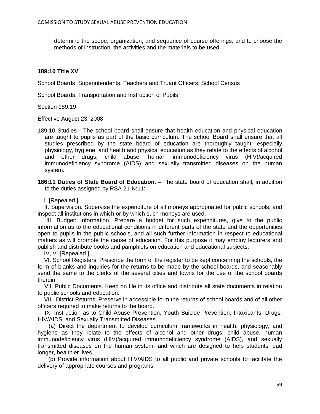determine the scope, organization, and sequence of course offerings. and to choose the methods of instruction, the activities and the materials to be used.

#### **189:10 Title XV**

School Boards, Superintendents, Teachers and Truant Officers; School Census

School Boards, Transportation and Instruction of Pupils

Section 189:19

Effective August 23, 2008

- 189:10 Studies The school board shall ensure that health education and physical education are taught to pupils as part of the basic curriculum. The school Board shall ensure that all studies prescribed by the state board of education are thoroughly taught, especially physiology, hygiene, and health and physical education as they relate to the effects of alcohol and other drugs, child abuse, human immunodeficiency virus (HIV)/acquired immunodeficiency syndrome (AIDS) and sexually transmitted diseases on the human system.
- **186:11 Duties of State Board of Education. –** The state board of education shall, in addition to the duties assigned by RSA 21-N:11:

I. [Repealed.]

 II. Supervision. Supervise the expenditure of all moneys appropriated for public schools, and inspect all institutions in which or by which such moneys are used.

 III. Budget: Information. Prepare a budget for such expenditures, give to the public information as to the educational conditions in different parts of the state and the opportunities open to pupils in the public schools, and all such further information in respect to educational matters as will promote the cause of education. For this purpose it may employ lecturers and publish and distribute books and pamphlets on education and educational subjects.

IV, V. [Repealed.]

 VI. School Registers. Prescribe the form of the register to be kept concerning the schools, the form of blanks and inquiries for the returns to be made by the school boards, and seasonably send the same to the clerks of the several cities and towns for the use of the school boards therein.

 VII. Public Documents. Keep on file in its office and distribute all state documents in relation to public schools and education.

 VIII. District Returns. Preserve in accessible form the returns of school boards and of all other officers required to make returns to the board.

 IX. Instruction as to Child Abuse Prevention, Youth Suicide Prevention, Intoxicants, Drugs, HIV/AIDS, and Sexually Transmitted Diseases.

 (a) Direct the department to develop curriculum frameworks in health, physiology, and hygiene as they relate to the effects of alcohol and other drugs, child abuse, human immunodeficiency virus (HIV)/acquired immunodeficiency syndrome (AIDS), and sexually transmitted diseases on the human system, and which are designed to help students lead longer, healthier lives.

 (b) Provide information about HIV/AIDS to all public and private schools to facilitate the delivery of appropriate courses and programs.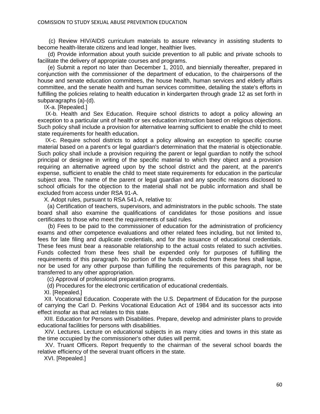(c) Review HIV/AIDS curriculum materials to assure relevancy in assisting students to become health-literate citizens and lead longer, healthier lives.

 (d) Provide information about youth suicide prevention to all public and private schools to facilitate the delivery of appropriate courses and programs.

 (e) Submit a report no later than December 1, 2010, and biennially thereafter, prepared in conjunction with the commissioner of the department of education, to the chairpersons of the house and senate education committees, the house health, human services and elderly affairs committee, and the senate health and human services committee, detailing the state's efforts in fulfilling the policies relating to health education in kindergarten through grade 12 as set forth in subparagraphs (a)-(d).

IX-a. [Repealed.]

 IX-b. Health and Sex Education. Require school districts to adopt a policy allowing an exception to a particular unit of health or sex education instruction based on religious objections. Such policy shall include a provision for alternative learning sufficient to enable the child to meet state requirements for health education.

 IX-c. Require school districts to adopt a policy allowing an exception to specific course material based on a parent's or legal guardian's determination that the material is objectionable. Such policy shall include a provision requiring the parent or legal guardian to notify the school principal or designee in writing of the specific material to which they object and a provision requiring an alternative agreed upon by the school district and the parent, at the parent's expense, sufficient to enable the child to meet state requirements for education in the particular subject area. The name of the parent or legal guardian and any specific reasons disclosed to school officials for the objection to the material shall not be public information and shall be excluded from access under RSA 91-A.

X. Adopt rules, pursuant to RSA 541-A, relative to:

 (a) Certification of teachers, supervisors, and administrators in the public schools. The state board shall also examine the qualifications of candidates for those positions and issue certificates to those who meet the requirements of said rules.

 (b) Fees to be paid to the commissioner of education for the administration of proficiency exams and other competence evaluations and other related fees including, but not limited to, fees for late filing and duplicate credentials, and for the issuance of educational credentials. These fees must bear a reasonable relationship to the actual costs related to such activities. Funds collected from these fees shall be expended only for purposes of fulfilling the requirements of this paragraph. No portion of the funds collected from these fees shall lapse, nor be used for any other purpose than fulfilling the requirements of this paragraph, nor be transferred to any other appropriation.

(c) Approval of professional preparation programs.

(d) Procedures for the electronic certification of educational credentials.

XI. [Repealed.]

 XII. Vocational Education. Cooperate with the U.S. Department of Education for the purpose of carrying the Carl D. Perkins Vocational Education Act of 1984 and its successor acts into effect insofar as that act relates to this state.

 XIII. Education for Persons with Disabilities. Prepare, develop and administer plans to provide educational facilities for persons with disabilities.

 XIV. Lectures. Lecture on educational subjects in as many cities and towns in this state as the time occupied by the commissioner's other duties will permit.

 XV. Truant Officers. Report frequently to the chairman of the several school boards the relative efficiency of the several truant officers in the state.

XVI. [Repealed.]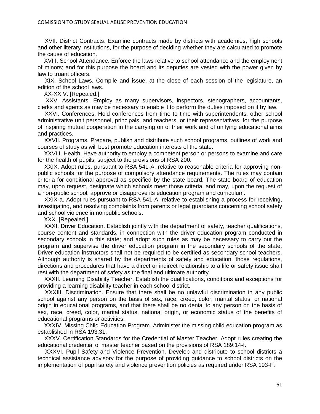XVII. District Contracts. Examine contracts made by districts with academies, high schools and other literary institutions, for the purpose of deciding whether they are calculated to promote the cause of education.

 XVIII. School Attendance. Enforce the laws relative to school attendance and the employment of minors; and for this purpose the board and its deputies are vested with the power given by law to truant officers.

 XIX. School Laws. Compile and issue, at the close of each session of the legislature, an edition of the school laws.

XX-XXIV. [Repealed.]

 XXV. Assistants. Employ as many supervisors, inspectors, stenographers, accountants, clerks and agents as may be necessary to enable it to perform the duties imposed on it by law.

 XXVI. Conferences. Hold conferences from time to time with superintendents, other school administrative unit personnel, principals, and teachers, or their representatives, for the purpose of inspiring mutual cooperation in the carrying on of their work and of unifying educational aims and practices.

 XXVII. Programs. Prepare, publish and distribute such school programs, outlines of work and courses of study as will best promote education interests of the state.

 XXVIII. Health. Have authority to employ a competent person or persons to examine and care for the health of pupils, subject to the provisions of RSA 200.

 XXIX. Adopt rules, pursuant to RSA 541-A, relative to reasonable criteria for approving nonpublic schools for the purpose of compulsory attendance requirements. The rules may contain criteria for conditional approval as specified by the state board. The state board of education may, upon request, designate which schools meet those criteria, and may, upon the request of a non-public school, approve or disapprove its education program and curriculum.

 XXIX-a. Adopt rules pursuant to RSA 541-A, relative to establishing a process for receiving, investigating, and resolving complaints from parents or legal guardians concerning school safety and school violence in nonpublic schools.

XXX. [Repealed.]

 XXXI. Driver Education. Establish jointly with the department of safety, teacher qualifications, course content and standards, in connection with the driver education program conducted in secondary schools in this state; and adopt such rules as may be necessary to carry out the program and supervise the driver education program in the secondary schools of the state. Driver education instructors shall not be required to be certified as secondary school teachers. Although authority is shared by the departments of safety and education, those regulations, directions and procedures that have a direct or indirect relationship to a life or safety issue shall rest with the department of safety as the final and ultimate authority.

 XXXII. Learning Disability Teacher. Establish the qualifications, conditions and exceptions for providing a learning disability teacher in each school district.

 XXXIII. Discrimination. Ensure that there shall be no unlawful discrimination in any public school against any person on the basis of sex, race, creed, color, marital status, or national origin in educational programs, and that there shall be no denial to any person on the basis of sex, race, creed, color, marital status, national origin, or economic status of the benefits of educational programs or activities.

 XXXIV. Missing Child Education Program. Administer the missing child education program as established in RSA 193:31.

 XXXV. Certification Standards for the Credential of Master Teacher. Adopt rules creating the educational credential of master teacher based on the provisions of RSA 189:14-f.

 XXXVI. Pupil Safety and Violence Prevention. Develop and distribute to school districts a technical assistance advisory for the purpose of providing guidance to school districts on the implementation of pupil safety and violence prevention policies as required under RSA 193-F.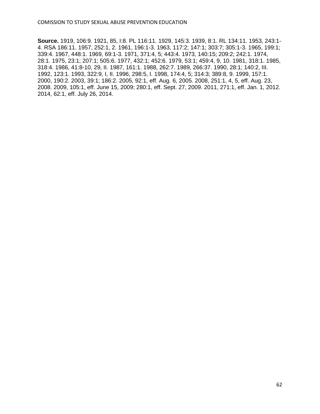**Source.** 1919, 106:9. 1921, 85, I:8. PL 116:11. 1929, 145:3. 1939, 8:1. RL 134:11. 1953, 243:1- 4. RSA 186:11. 1957, 252:1, 2. 1961, 196:1-3. 1963, 117:2; 147:1; 303:7; 305:1-3. 1965, 199:1; 339:4. 1967, 448:1. 1969, 69:1-3. 1971, 371:4, 5; 443:4. 1973, 140:15; 209:2; 242:1. 1974, 28:1. 1975, 23:1; 207:1; 505:6. 1977, 432:1; 452:6. 1979, 53:1; 459:4, 9, 10. 1981, 318:1. 1985, 318:4. 1986, 41:8-10, 29, II. 1987, 161:1. 1988, 262:7. 1989, 266:37. 1990, 28:1; 140:2, III. 1992, 123:1. 1993, 322:9, I, II. 1996, 298:5, I. 1998, 174:4, 5; 314:3; 389:8, 9. 1999, 157:1. 2000, 190:2. 2003, 39:1; 186:2. 2005, 92:1, eff. Aug. 6, 2005. 2008, 251:1, 4, 5, eff. Aug. 23, 2008. 2009, 105:1, eff. June 15, 2009; 280:1, eff. Sept. 27, 2009. 2011, 271:1, eff. Jan. 1, 2012. 2014, 62:1, eff. July 26, 2014.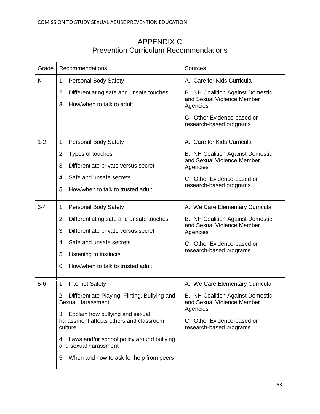| Grade   | Recommendations                                                                 | <b>Sources</b>                                                        |  |
|---------|---------------------------------------------------------------------------------|-----------------------------------------------------------------------|--|
| K       | 1. Personal Body Safety                                                         | A. Care for Kids Curricula                                            |  |
|         | Differentiating safe and unsafe touches<br>2.                                   | <b>B. NH Coalition Against Domestic</b>                               |  |
|         | How/when to talk to adult<br>3.                                                 | and Sexual Violence Member<br>Agencies                                |  |
|         |                                                                                 | C. Other Evidence-based or<br>research-based programs                 |  |
| $1 - 2$ | <b>Personal Body Safety</b><br>1.                                               | A. Care for Kids Curricula                                            |  |
|         | Types of touches<br>2.                                                          | <b>B. NH Coalition Against Domestic</b>                               |  |
|         | 3.<br>Differentiate private versus secret                                       | and Sexual Violence Member<br>Agencies                                |  |
|         | Safe and unsafe secrets<br>4.                                                   | C. Other Evidence-based or                                            |  |
|         | How/when to talk to trusted adult<br>5.                                         | research-based programs                                               |  |
| $3 - 4$ | <b>Personal Body Safety</b><br>1.                                               | A. We Care Elementary Curricula                                       |  |
|         | Differentiating safe and unsafe touches<br>2.                                   | <b>B. NH Coalition Against Domestic</b><br>and Sexual Violence Member |  |
|         | 3.<br>Differentiate private versus secret                                       | Agencies                                                              |  |
|         | Safe and unsafe secrets<br>4.                                                   | C. Other Evidence-based or                                            |  |
|         | 5.<br>Listening to instincts                                                    | research-based programs                                               |  |
|         | How/when to talk to trusted adult<br>6.                                         |                                                                       |  |
| $5-6$   | <b>Internet Safety</b><br>1.                                                    | A. We Care Elementary Curricula                                       |  |
|         | 2.<br>Differentiate Playing, Flirting, Bullying and<br><b>Sexual Harassment</b> | <b>B.</b> NH Coalition Against Domestic<br>and Sexual Violence Member |  |
|         | 3. Explain how bullying and sexual<br>harassment affects others and classroom   | Agencies<br>C. Other Evidence-based or                                |  |
|         | culture                                                                         | research-based programs                                               |  |
|         | 4. Laws and/or school policy around bullying<br>and sexual harassment           |                                                                       |  |
|         | 5. When and how to ask for help from peers                                      |                                                                       |  |

## APPENDIX C Prevention Curriculum Recommendations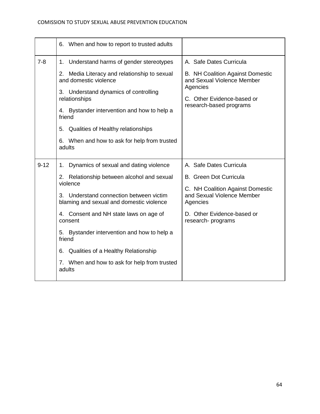|          | 6. When and how to report to trusted adults                                                                                                                                                                                                                                                                                                                                                                        |                                                                                                                                                                                            |
|----------|--------------------------------------------------------------------------------------------------------------------------------------------------------------------------------------------------------------------------------------------------------------------------------------------------------------------------------------------------------------------------------------------------------------------|--------------------------------------------------------------------------------------------------------------------------------------------------------------------------------------------|
| $7 - 8$  | Understand harms of gender stereotypes<br>1.<br>2. Media Literacy and relationship to sexual<br>and domestic violence<br>3. Understand dynamics of controlling<br>relationships<br>4. Bystander intervention and how to help a<br>friend<br>Qualities of Healthy relationships<br>5.<br>6. When and how to ask for help from trusted<br>adults                                                                     | A. Safe Dates Curricula<br><b>B. NH Coalition Against Domestic</b><br>and Sexual Violence Member<br>Agencies<br>C. Other Evidence-based or<br>research-based programs                      |
| $9 - 12$ | Dynamics of sexual and dating violence<br>1.<br>2. Relationship between alcohol and sexual<br>violence<br>3. Understand connection between victim<br>blaming and sexual and domestic violence<br>4. Consent and NH state laws on age of<br>consent<br>5. Bystander intervention and how to help a<br>friend<br>Qualities of a Healthy Relationship<br>6.<br>7. When and how to ask for help from trusted<br>adults | A. Safe Dates Curricula<br><b>B.</b> Green Dot Curricula<br>C. NH Coalition Against Domestic<br>and Sexual Violence Member<br>Agencies<br>D. Other Evidence-based or<br>research- programs |